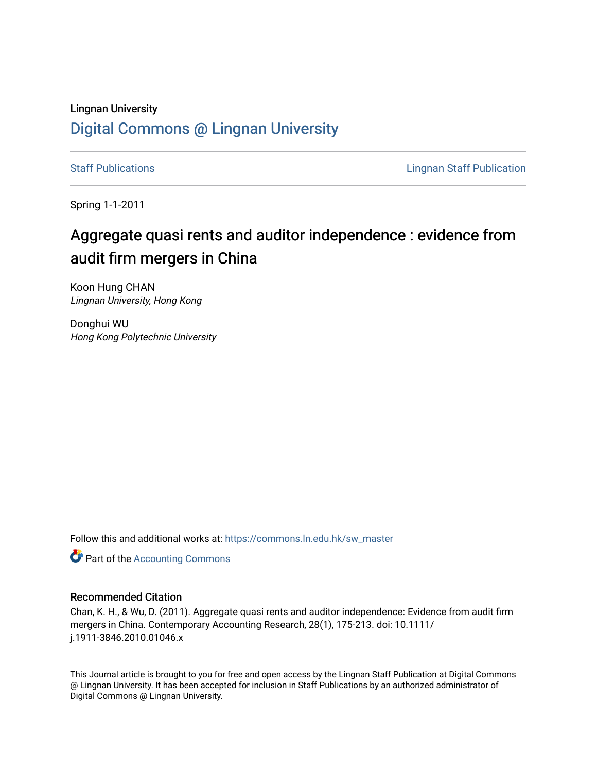## Lingnan University [Digital Commons @ Lingnan University](https://commons.ln.edu.hk/)

[Staff Publications](https://commons.ln.edu.hk/sw_master) **Staff Publications Lingnan Staff Publication** 

Spring 1-1-2011

# Aggregate quasi rents and auditor independence : evidence from audit firm mergers in China

Koon Hung CHAN Lingnan University, Hong Kong

Donghui WU Hong Kong Polytechnic University

Follow this and additional works at: [https://commons.ln.edu.hk/sw\\_master](https://commons.ln.edu.hk/sw_master?utm_source=commons.ln.edu.hk%2Fsw_master%2F1951&utm_medium=PDF&utm_campaign=PDFCoverPages) 

**Part of the [Accounting Commons](http://network.bepress.com/hgg/discipline/625?utm_source=commons.ln.edu.hk%2Fsw_master%2F1951&utm_medium=PDF&utm_campaign=PDFCoverPages)** 

### Recommended Citation

Chan, K. H., & Wu, D. (2011). Aggregate quasi rents and auditor independence: Evidence from audit firm mergers in China. Contemporary Accounting Research, 28(1), 175-213. doi: 10.1111/ j.1911-3846.2010.01046.x

This Journal article is brought to you for free and open access by the Lingnan Staff Publication at Digital Commons @ Lingnan University. It has been accepted for inclusion in Staff Publications by an authorized administrator of Digital Commons @ Lingnan University.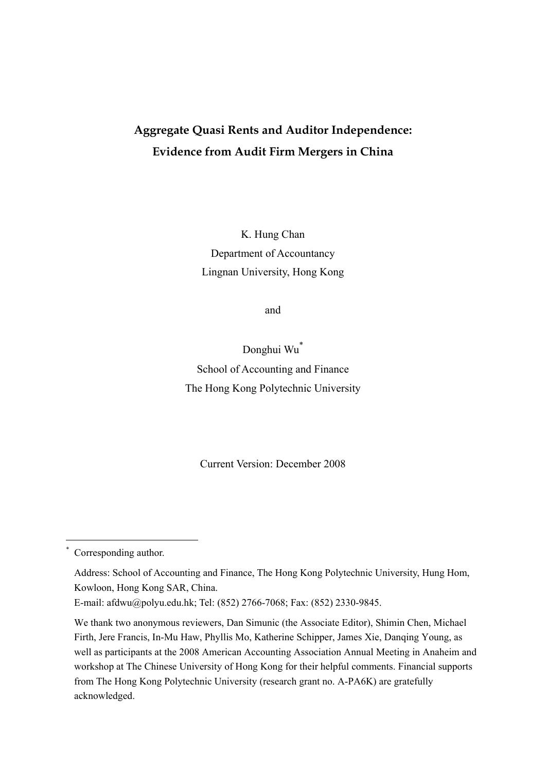# **Aggregate Quasi Rents and Auditor Independence: Evidence from Audit Firm Mergers in China**

K. Hung Chan Department of Accountancy Lingnan University, Hong Kong

and

Donghui Wu\* School of Accounting and Finance The Hong Kong Polytechnic University

Current Version: December 2008

<u>.</u>

<sup>\*</sup> Corresponding author.

Address: School of Accounting and Finance, The Hong Kong Polytechnic University, Hung Hom, Kowloon, Hong Kong SAR, China.

E-mail: afdwu@polyu.edu.hk; Tel: (852) 2766-7068; Fax: (852) 2330-9845.

We thank two anonymous reviewers, Dan Simunic (the Associate Editor), Shimin Chen, Michael Firth, Jere Francis, In-Mu Haw, Phyllis Mo, Katherine Schipper, James Xie, Danqing Young, as well as participants at the 2008 American Accounting Association Annual Meeting in Anaheim and workshop at The Chinese University of Hong Kong for their helpful comments. Financial supports from The Hong Kong Polytechnic University (research grant no. A-PA6K) are gratefully acknowledged.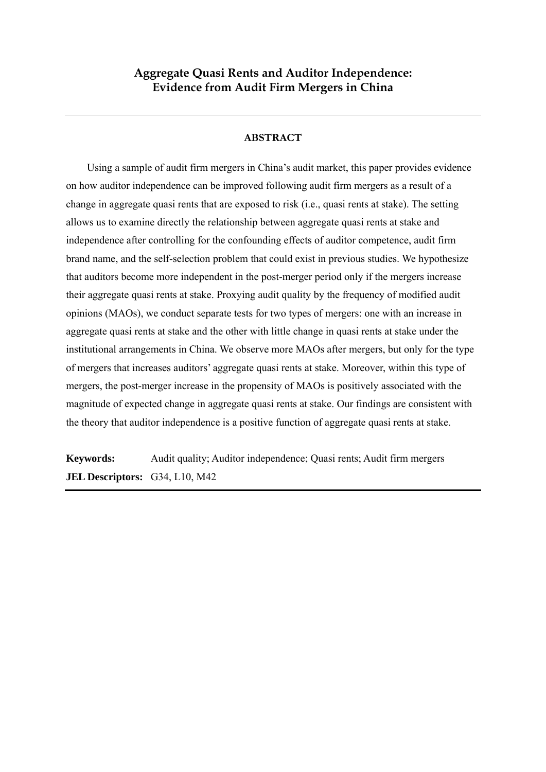## **Aggregate Quasi Rents and Auditor Independence: Evidence from Audit Firm Mergers in China**

## **ABSTRACT**

Using a sample of audit firm mergers in China's audit market, this paper provides evidence on how auditor independence can be improved following audit firm mergers as a result of a change in aggregate quasi rents that are exposed to risk (i.e., quasi rents at stake). The setting allows us to examine directly the relationship between aggregate quasi rents at stake and independence after controlling for the confounding effects of auditor competence, audit firm brand name, and the self-selection problem that could exist in previous studies. We hypothesize that auditors become more independent in the post-merger period only if the mergers increase their aggregate quasi rents at stake. Proxying audit quality by the frequency of modified audit opinions (MAOs), we conduct separate tests for two types of mergers: one with an increase in aggregate quasi rents at stake and the other with little change in quasi rents at stake under the institutional arrangements in China. We observe more MAOs after mergers, but only for the type of mergers that increases auditors' aggregate quasi rents at stake. Moreover, within this type of mergers, the post-merger increase in the propensity of MAOs is positively associated with the magnitude of expected change in aggregate quasi rents at stake. Our findings are consistent with the theory that auditor independence is a positive function of aggregate quasi rents at stake.

**Keywords:** Audit quality; Auditor independence; Quasi rents; Audit firm mergers **JEL Descriptors:** G34, L10, M42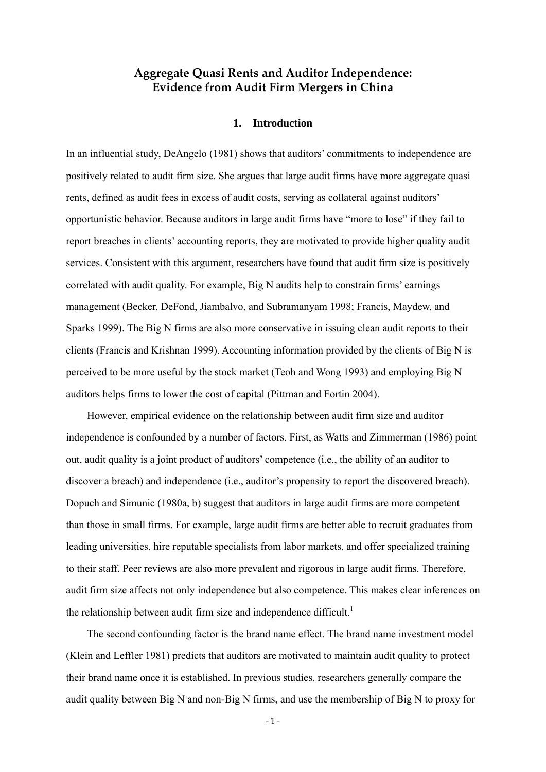## **Aggregate Quasi Rents and Auditor Independence: Evidence from Audit Firm Mergers in China**

#### **1. Introduction**

In an influential study, DeAngelo (1981) shows that auditors' commitments to independence are positively related to audit firm size. She argues that large audit firms have more aggregate quasi rents, defined as audit fees in excess of audit costs, serving as collateral against auditors' opportunistic behavior. Because auditors in large audit firms have "more to lose" if they fail to report breaches in clients' accounting reports, they are motivated to provide higher quality audit services. Consistent with this argument, researchers have found that audit firm size is positively correlated with audit quality. For example, Big N audits help to constrain firms' earnings management (Becker, DeFond, Jiambalvo, and Subramanyam 1998; Francis, Maydew, and Sparks 1999). The Big N firms are also more conservative in issuing clean audit reports to their clients (Francis and Krishnan 1999). Accounting information provided by the clients of Big N is perceived to be more useful by the stock market (Teoh and Wong 1993) and employing Big N auditors helps firms to lower the cost of capital (Pittman and Fortin 2004).

However, empirical evidence on the relationship between audit firm size and auditor independence is confounded by a number of factors. First, as Watts and Zimmerman (1986) point out, audit quality is a joint product of auditors' competence (i.e., the ability of an auditor to discover a breach) and independence (i.e., auditor's propensity to report the discovered breach). Dopuch and Simunic (1980a, b) suggest that auditors in large audit firms are more competent than those in small firms. For example, large audit firms are better able to recruit graduates from leading universities, hire reputable specialists from labor markets, and offer specialized training to their staff. Peer reviews are also more prevalent and rigorous in large audit firms. Therefore, audit firm size affects not only independence but also competence. This makes clear inferences on the relationship between audit firm size and independence difficult.<sup>1</sup>

The second confounding factor is the brand name effect. The brand name investment model (Klein and Leffler 1981) predicts that auditors are motivated to maintain audit quality to protect their brand name once it is established. In previous studies, researchers generally compare the audit quality between Big N and non-Big N firms, and use the membership of Big N to proxy for

 $-1 -$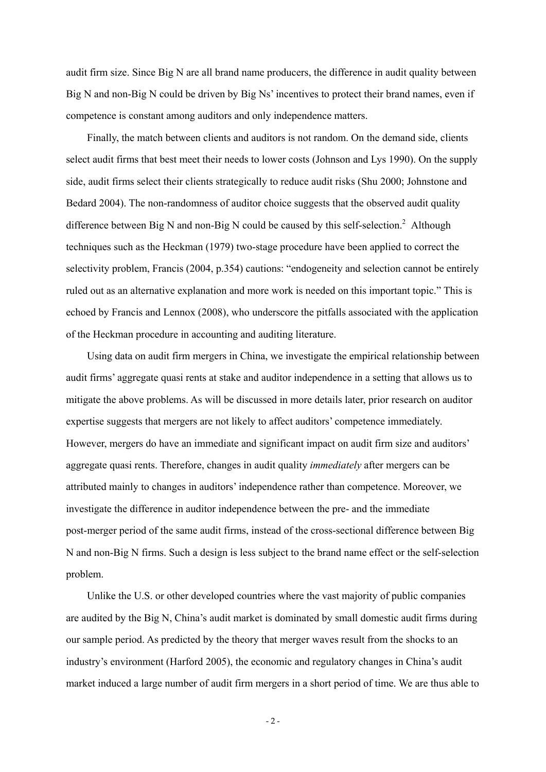audit firm size. Since Big N are all brand name producers, the difference in audit quality between Big N and non-Big N could be driven by Big Ns' incentives to protect their brand names, even if competence is constant among auditors and only independence matters.

Finally, the match between clients and auditors is not random. On the demand side, clients select audit firms that best meet their needs to lower costs (Johnson and Lys 1990). On the supply side, audit firms select their clients strategically to reduce audit risks (Shu 2000; Johnstone and Bedard 2004). The non-randomness of auditor choice suggests that the observed audit quality difference between Big N and non-Big N could be caused by this self-selection.<sup>2</sup> Although techniques such as the Heckman (1979) two-stage procedure have been applied to correct the selectivity problem, Francis (2004, p.354) cautions: "endogeneity and selection cannot be entirely ruled out as an alternative explanation and more work is needed on this important topic." This is echoed by Francis and Lennox (2008), who underscore the pitfalls associated with the application of the Heckman procedure in accounting and auditing literature.

Using data on audit firm mergers in China, we investigate the empirical relationship between audit firms' aggregate quasi rents at stake and auditor independence in a setting that allows us to mitigate the above problems. As will be discussed in more details later, prior research on auditor expertise suggests that mergers are not likely to affect auditors' competence immediately. However, mergers do have an immediate and significant impact on audit firm size and auditors' aggregate quasi rents. Therefore, changes in audit quality *immediately* after mergers can be attributed mainly to changes in auditors' independence rather than competence. Moreover, we investigate the difference in auditor independence between the pre- and the immediate post-merger period of the same audit firms, instead of the cross-sectional difference between Big N and non-Big N firms. Such a design is less subject to the brand name effect or the self-selection problem.

Unlike the U.S. or other developed countries where the vast majority of public companies are audited by the Big N, China's audit market is dominated by small domestic audit firms during our sample period. As predicted by the theory that merger waves result from the shocks to an industry's environment (Harford 2005), the economic and regulatory changes in China's audit market induced a large number of audit firm mergers in a short period of time. We are thus able to

 $-2-$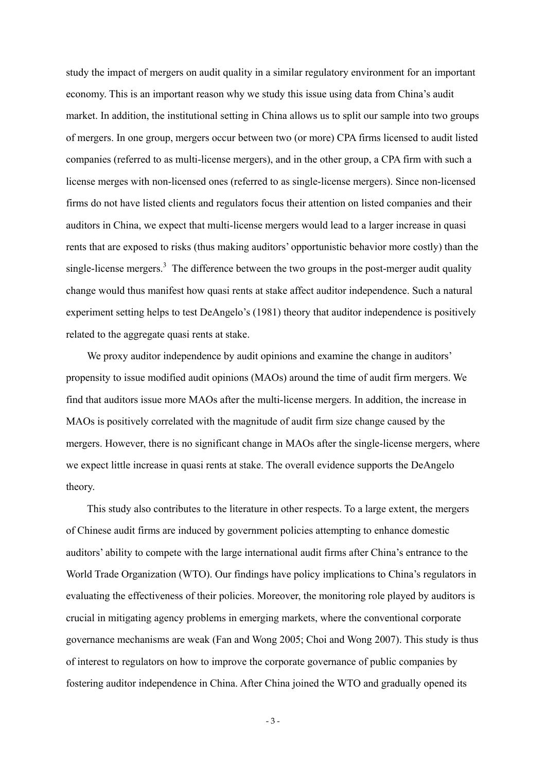study the impact of mergers on audit quality in a similar regulatory environment for an important economy. This is an important reason why we study this issue using data from China's audit market. In addition, the institutional setting in China allows us to split our sample into two groups of mergers. In one group, mergers occur between two (or more) CPA firms licensed to audit listed companies (referred to as multi-license mergers), and in the other group, a CPA firm with such a license merges with non-licensed ones (referred to as single-license mergers). Since non-licensed firms do not have listed clients and regulators focus their attention on listed companies and their auditors in China, we expect that multi-license mergers would lead to a larger increase in quasi rents that are exposed to risks (thus making auditors' opportunistic behavior more costly) than the single-license mergers.<sup>3</sup> The difference between the two groups in the post-merger audit quality change would thus manifest how quasi rents at stake affect auditor independence. Such a natural experiment setting helps to test DeAngelo's (1981) theory that auditor independence is positively related to the aggregate quasi rents at stake.

We proxy auditor independence by audit opinions and examine the change in auditors' propensity to issue modified audit opinions (MAOs) around the time of audit firm mergers. We find that auditors issue more MAOs after the multi-license mergers. In addition, the increase in MAOs is positively correlated with the magnitude of audit firm size change caused by the mergers. However, there is no significant change in MAOs after the single-license mergers, where we expect little increase in quasi rents at stake. The overall evidence supports the DeAngelo theory.

This study also contributes to the literature in other respects. To a large extent, the mergers of Chinese audit firms are induced by government policies attempting to enhance domestic auditors' ability to compete with the large international audit firms after China's entrance to the World Trade Organization (WTO). Our findings have policy implications to China's regulators in evaluating the effectiveness of their policies. Moreover, the monitoring role played by auditors is crucial in mitigating agency problems in emerging markets, where the conventional corporate governance mechanisms are weak (Fan and Wong 2005; Choi and Wong 2007). This study is thus of interest to regulators on how to improve the corporate governance of public companies by fostering auditor independence in China. After China joined the WTO and gradually opened its

- 3 -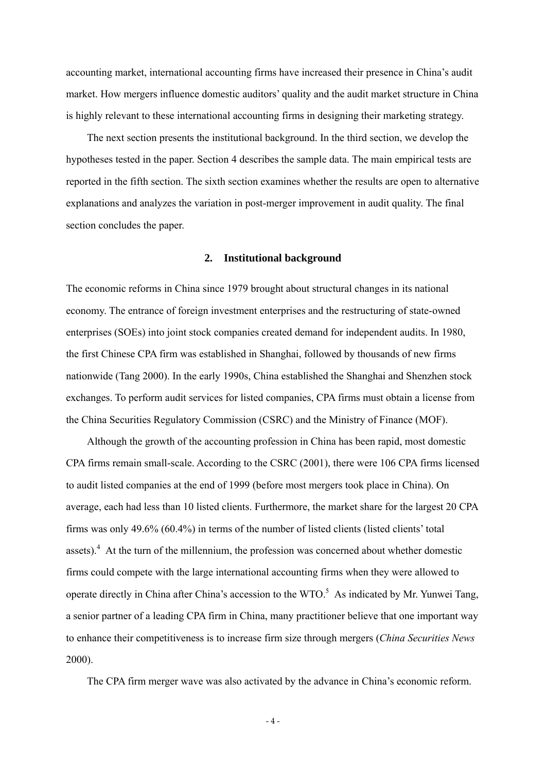accounting market, international accounting firms have increased their presence in China's audit market. How mergers influence domestic auditors' quality and the audit market structure in China is highly relevant to these international accounting firms in designing their marketing strategy.

The next section presents the institutional background. In the third section, we develop the hypotheses tested in the paper. Section 4 describes the sample data. The main empirical tests are reported in the fifth section. The sixth section examines whether the results are open to alternative explanations and analyzes the variation in post-merger improvement in audit quality. The final section concludes the paper.

## **2. Institutional background**

The economic reforms in China since 1979 brought about structural changes in its national economy. The entrance of foreign investment enterprises and the restructuring of state-owned enterprises (SOEs) into joint stock companies created demand for independent audits. In 1980, the first Chinese CPA firm was established in Shanghai, followed by thousands of new firms nationwide (Tang 2000). In the early 1990s, China established the Shanghai and Shenzhen stock exchanges. To perform audit services for listed companies, CPA firms must obtain a license from the China Securities Regulatory Commission (CSRC) and the Ministry of Finance (MOF).

Although the growth of the accounting profession in China has been rapid, most domestic CPA firms remain small-scale. According to the CSRC (2001), there were 106 CPA firms licensed to audit listed companies at the end of 1999 (before most mergers took place in China). On average, each had less than 10 listed clients. Furthermore, the market share for the largest 20 CPA firms was only 49.6% (60.4%) in terms of the number of listed clients (listed clients' total assets). $4$  At the turn of the millennium, the profession was concerned about whether domestic firms could compete with the large international accounting firms when they were allowed to operate directly in China after China's accession to the  $WTO$ .<sup>5</sup> As indicated by Mr. Yunwei Tang, a senior partner of a leading CPA firm in China, many practitioner believe that one important way to enhance their competitiveness is to increase firm size through mergers (*China Securities News* 2000).

The CPA firm merger wave was also activated by the advance in China's economic reform.

- 4 -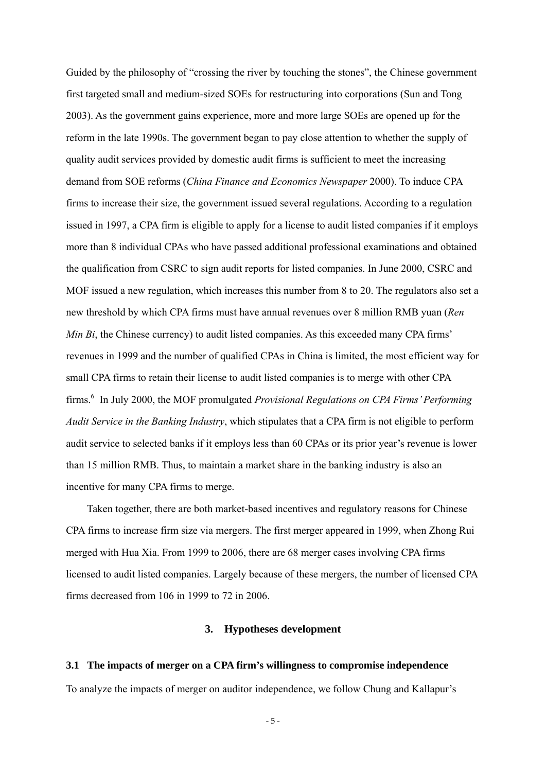Guided by the philosophy of "crossing the river by touching the stones", the Chinese government first targeted small and medium-sized SOEs for restructuring into corporations (Sun and Tong 2003). As the government gains experience, more and more large SOEs are opened up for the reform in the late 1990s. The government began to pay close attention to whether the supply of quality audit services provided by domestic audit firms is sufficient to meet the increasing demand from SOE reforms (*China Finance and Economics Newspaper* 2000). To induce CPA firms to increase their size, the government issued several regulations. According to a regulation issued in 1997, a CPA firm is eligible to apply for a license to audit listed companies if it employs more than 8 individual CPAs who have passed additional professional examinations and obtained the qualification from CSRC to sign audit reports for listed companies. In June 2000, CSRC and MOF issued a new regulation, which increases this number from 8 to 20. The regulators also set a new threshold by which CPA firms must have annual revenues over 8 million RMB yuan (*Ren Min Bi*, the Chinese currency) to audit listed companies. As this exceeded many CPA firms' revenues in 1999 and the number of qualified CPAs in China is limited, the most efficient way for small CPA firms to retain their license to audit listed companies is to merge with other CPA firms.<sup>6</sup> In July 2000, the MOF promulgated *Provisional Regulations on CPA Firms' Performing Audit Service in the Banking Industry*, which stipulates that a CPA firm is not eligible to perform audit service to selected banks if it employs less than 60 CPAs or its prior year's revenue is lower than 15 million RMB. Thus, to maintain a market share in the banking industry is also an incentive for many CPA firms to merge.

Taken together, there are both market-based incentives and regulatory reasons for Chinese CPA firms to increase firm size via mergers. The first merger appeared in 1999, when Zhong Rui merged with Hua Xia. From 1999 to 2006, there are 68 merger cases involving CPA firms licensed to audit listed companies. Largely because of these mergers, the number of licensed CPA firms decreased from 106 in 1999 to 72 in 2006.

## **3. Hypotheses development**

# **3.1 The impacts of merger on a CPA firm's willingness to compromise independence**

To analyze the impacts of merger on auditor independence, we follow Chung and Kallapur's

- 5 -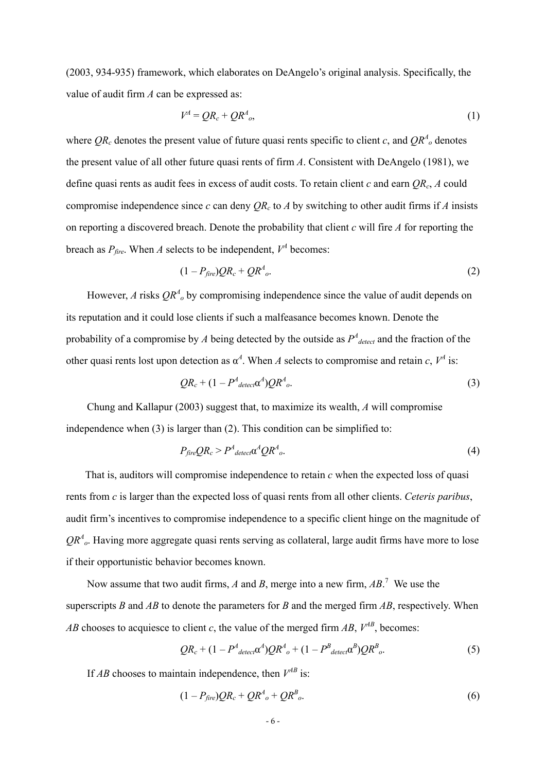(2003, 934-935) framework, which elaborates on DeAngelo's original analysis. Specifically, the value of audit firm *A* can be expressed as:

$$
V^A = QR_c + QR^A_{o},\tag{1}
$$

where  $QR_c$  denotes the present value of future quasi rents specific to client *c*, and  $QR^A$ <sub>*o*</sub> denotes the present value of all other future quasi rents of firm *A*. Consistent with DeAngelo (1981), we define quasi rents as audit fees in excess of audit costs. To retain client *c* and earn *QRc*, *A* could compromise independence since *c* can deny  $QR_c$  to *A* by switching to other audit firms if *A* insists on reporting a discovered breach. Denote the probability that client *c* will fire *A* for reporting the breach as  $P_{\text{fire}}$ . When *A* selects to be independent,  $V^A$  becomes:

$$
(1 - P_{\text{fire}})QR_c + QR^4_o. \tag{2}
$$

However, *A* risks  $QR<sup>A</sup>$ <sub>o</sub> by compromising independence since the value of audit depends on its reputation and it could lose clients if such a malfeasance becomes known. Denote the probability of a compromise by *A* being detected by the outside as  $P^4$ <sub>detect</sub> and the fraction of the other quasi rents lost upon detection as  $\alpha^A$ . When *A* selects to compromise and retain *c*,  $V^A$  is:

$$
QR_c + (1 - P^4_{\text{detect}} \alpha^4) QR^4_o. \tag{3}
$$

Chung and Kallapur (2003) suggest that, to maximize its wealth, *A* will compromise independence when (3) is larger than (2). This condition can be simplified to:

$$
P_{\text{fire}}QR_c > P^4_{\text{detect}} \alpha^4 Q R^4_o. \tag{4}
$$

That is, auditors will compromise independence to retain *c* when the expected loss of quasi rents from *c* is larger than the expected loss of quasi rents from all other clients. *Ceteris paribus*, audit firm's incentives to compromise independence to a specific client hinge on the magnitude of  $QR<sup>A</sup><sub>o</sub>$ . Having more aggregate quasi rents serving as collateral, large audit firms have more to lose if their opportunistic behavior becomes known.

Now assume that two audit firms, *A* and *B*, merge into a new firm, *AB*. 7 We use the superscripts *B* and *AB* to denote the parameters for *B* and the merged firm *AB*, respectively. When *AB* chooses to acquiesce to client *c*, the value of the merged firm *AB*,  $V^{AB}$ , becomes:

$$
QR_c + (1 - P^4_{\text{detec}} \alpha^4)QR^4{}_o + (1 - P^B_{\text{detec}} \alpha^B)QR^B{}_o. \tag{5}
$$

If *AB* chooses to maintain independence, then  $V^{AB}$  is:

$$
(1 - P_{\text{fire}})QR_c + QR^A_{\text{o}} + QR^B_{\text{o}}.
$$
\n
$$
(6)
$$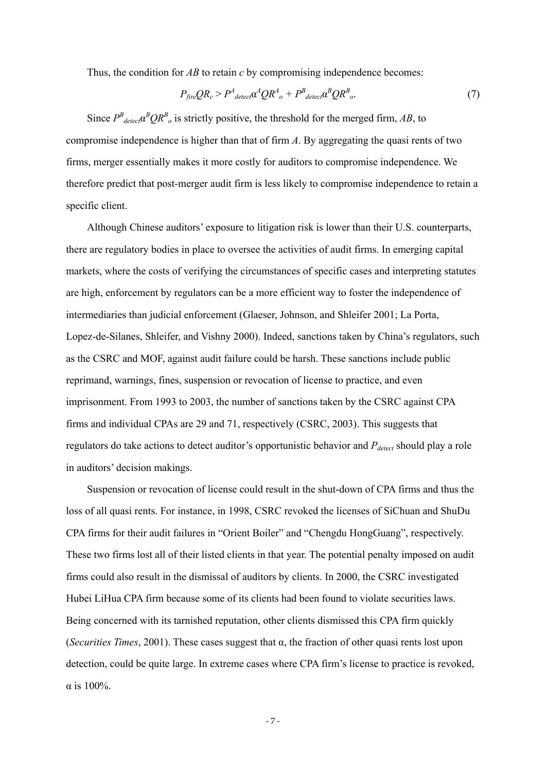Thus, the condition for *AB* to retain *c* by compromising independence becomes:

$$
P_{\text{fire}}QR_c > P^A_{\text{detect}} \alpha^4 Q R^A_{\text{o}} + P^B_{\text{detect}} \alpha^B Q R^B_{\text{o}}.\tag{7}
$$

Since  $P^B_{\text{detect}} \alpha^B Q R^B$ <sub>o</sub> is strictly positive, the threshold for the merged firm, *AB*, to compromise independence is higher than that of firm *A*. By aggregating the quasi rents of two firms, merger essentially makes it more costly for auditors to compromise independence. We therefore predict that post-merger audit firm is less likely to compromise independence to retain a specific client.

Although Chinese auditors' exposure to litigation risk is lower than their U.S. counterparts, there are regulatory bodies in place to oversee the activities of audit firms. In emerging capital markets, where the costs of verifying the circumstances of specific cases and interpreting statutes are high, enforcement by regulators can be a more efficient way to foster the independence of intermediaries than judicial enforcement (Glaeser, Johnson, and Shleifer 2001; La Porta, Lopez-de-Silanes, Shleifer, and Vishny 2000). Indeed, sanctions taken by China's regulators, such as the CSRC and MOF, against audit failure could be harsh. These sanctions include public reprimand, warnings, fines, suspension or revocation of license to practice, and even imprisonment. From 1993 to 2003, the number of sanctions taken by the CSRC against CPA firms and individual CPAs are 29 and 71, respectively (CSRC, 2003). This suggests that regulators do take actions to detect auditor's opportunistic behavior and *Pdetect* should play a role in auditors' decision makings.

Suspension or revocation of license could result in the shut-down of CPA firms and thus the loss of all quasi rents. For instance, in 1998, CSRC revoked the licenses of SiChuan and ShuDu CPA firms for their audit failures in "Orient Boiler" and "Chengdu HongGuang", respectively. These two firms lost all of their listed clients in that year. The potential penalty imposed on audit firms could also result in the dismissal of auditors by clients. In 2000, the CSRC investigated Hubei LiHua CPA firm because some of its clients had been found to violate securities laws. Being concerned with its tarnished reputation, other clients dismissed this CPA firm quickly (*Securities Times*, 2001). These cases suggest that α, the fraction of other quasi rents lost upon detection, could be quite large. In extreme cases where CPA firm's license to practice is revoked, α is 100%.

- 7 -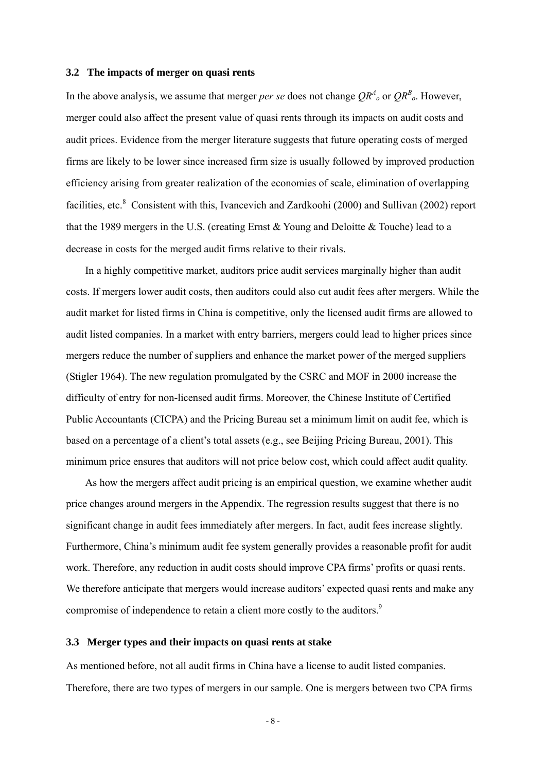#### **3.2 The impacts of merger on quasi rents**

In the above analysis, we assume that merger *per se* does not change  $QR^A$  or  $QR^B$ . However, merger could also affect the present value of quasi rents through its impacts on audit costs and audit prices. Evidence from the merger literature suggests that future operating costs of merged firms are likely to be lower since increased firm size is usually followed by improved production efficiency arising from greater realization of the economies of scale, elimination of overlapping facilities, etc.<sup>8</sup> Consistent with this, Ivancevich and Zardkoohi (2000) and Sullivan (2002) report that the 1989 mergers in the U.S. (creating Ernst & Young and Deloitte & Touche) lead to a decrease in costs for the merged audit firms relative to their rivals.

In a highly competitive market, auditors price audit services marginally higher than audit costs. If mergers lower audit costs, then auditors could also cut audit fees after mergers. While the audit market for listed firms in China is competitive, only the licensed audit firms are allowed to audit listed companies. In a market with entry barriers, mergers could lead to higher prices since mergers reduce the number of suppliers and enhance the market power of the merged suppliers (Stigler 1964). The new regulation promulgated by the CSRC and MOF in 2000 increase the difficulty of entry for non-licensed audit firms. Moreover, the Chinese Institute of Certified Public Accountants (CICPA) and the Pricing Bureau set a minimum limit on audit fee, which is based on a percentage of a client's total assets (e.g., see Beijing Pricing Bureau, 2001). This minimum price ensures that auditors will not price below cost, which could affect audit quality.

As how the mergers affect audit pricing is an empirical question, we examine whether audit price changes around mergers in the Appendix. The regression results suggest that there is no significant change in audit fees immediately after mergers. In fact, audit fees increase slightly. Furthermore, China's minimum audit fee system generally provides a reasonable profit for audit work. Therefore, any reduction in audit costs should improve CPA firms' profits or quasi rents. We therefore anticipate that mergers would increase auditors' expected quasi rents and make any compromise of independence to retain a client more costly to the auditors.<sup>9</sup>

### **3.3 Merger types and their impacts on quasi rents at stake**

As mentioned before, not all audit firms in China have a license to audit listed companies. Therefore, there are two types of mergers in our sample. One is mergers between two CPA firms

- 8 -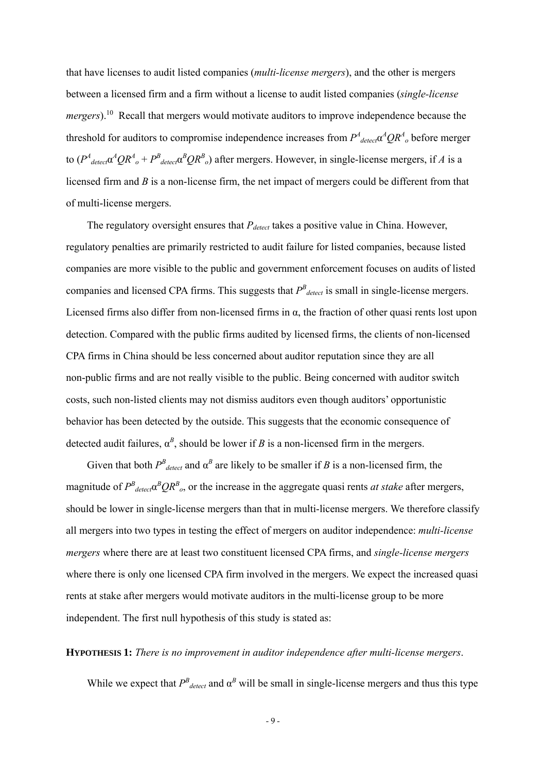that have licenses to audit listed companies (*multi-license mergers*), and the other is mergers between a licensed firm and a firm without a license to audit listed companies (*single-license mergers*).<sup>10</sup> Recall that mergers would motivate auditors to improve independence because the threshold for auditors to compromise independence increases from  $P^4$ <sub>detect</sub> $\alpha^4QR^4$ <sub>o</sub> before merger to  $(P^4_{\text{detect}} \alpha^4 Q R^4_{\text{o}} + P^B_{\text{detect}} \alpha^B Q R^B_{\text{o}})$  after mergers. However, in single-license mergers, if *A* is a licensed firm and *B* is a non-license firm, the net impact of mergers could be different from that of multi-license mergers.

The regulatory oversight ensures that  $P_{detect}$  takes a positive value in China. However, regulatory penalties are primarily restricted to audit failure for listed companies, because listed companies are more visible to the public and government enforcement focuses on audits of listed companies and licensed CPA firms. This suggests that  $P^B_{detect}$  is small in single-license mergers. Licensed firms also differ from non-licensed firms in  $\alpha$ , the fraction of other quasi rents lost upon detection. Compared with the public firms audited by licensed firms, the clients of non-licensed CPA firms in China should be less concerned about auditor reputation since they are all non-public firms and are not really visible to the public. Being concerned with auditor switch costs, such non-listed clients may not dismiss auditors even though auditors' opportunistic behavior has been detected by the outside. This suggests that the economic consequence of detected audit failures,  $\alpha^B$ , should be lower if *B* is a non-licensed firm in the mergers.

Given that both  $P^B_{\text{detect}}$  and  $\alpha^B$  are likely to be smaller if *B* is a non-licensed firm, the magnitude of  $P^B_{\text{detect}} \alpha^B Q R^B_{\text{o}}$ , or the increase in the aggregate quasi rents *at stake* after mergers, should be lower in single-license mergers than that in multi-license mergers. We therefore classify all mergers into two types in testing the effect of mergers on auditor independence: *multi-license mergers* where there are at least two constituent licensed CPA firms, and *single-license mergers* where there is only one licensed CPA firm involved in the mergers. We expect the increased quasi rents at stake after mergers would motivate auditors in the multi-license group to be more independent. The first null hypothesis of this study is stated as:

#### **HYPOTHESIS 1:** *There is no improvement in auditor independence after multi-license mergers*.

While we expect that  $P^B_{detect}$  and  $\alpha^B$  will be small in single-license mergers and thus this type

- 9 -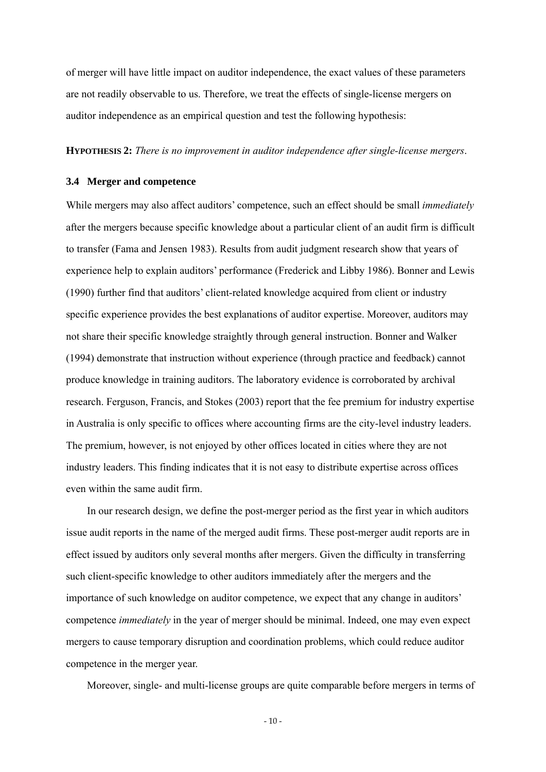of merger will have little impact on auditor independence, the exact values of these parameters are not readily observable to us. Therefore, we treat the effects of single-license mergers on auditor independence as an empirical question and test the following hypothesis:

#### **HYPOTHESIS 2:** *There is no improvement in auditor independence after single-license mergers*.

#### **3.4 Merger and competence**

While mergers may also affect auditors' competence, such an effect should be small *immediately* after the mergers because specific knowledge about a particular client of an audit firm is difficult to transfer (Fama and Jensen 1983). Results from audit judgment research show that years of experience help to explain auditors' performance (Frederick and Libby 1986). Bonner and Lewis (1990) further find that auditors' client-related knowledge acquired from client or industry specific experience provides the best explanations of auditor expertise. Moreover, auditors may not share their specific knowledge straightly through general instruction. Bonner and Walker (1994) demonstrate that instruction without experience (through practice and feedback) cannot produce knowledge in training auditors. The laboratory evidence is corroborated by archival research. Ferguson, Francis, and Stokes (2003) report that the fee premium for industry expertise in Australia is only specific to offices where accounting firms are the city-level industry leaders. The premium, however, is not enjoyed by other offices located in cities where they are not industry leaders. This finding indicates that it is not easy to distribute expertise across offices even within the same audit firm.

In our research design, we define the post-merger period as the first year in which auditors issue audit reports in the name of the merged audit firms. These post-merger audit reports are in effect issued by auditors only several months after mergers. Given the difficulty in transferring such client-specific knowledge to other auditors immediately after the mergers and the importance of such knowledge on auditor competence, we expect that any change in auditors' competence *immediately* in the year of merger should be minimal. Indeed, one may even expect mergers to cause temporary disruption and coordination problems, which could reduce auditor competence in the merger year.

Moreover, single- and multi-license groups are quite comparable before mergers in terms of

 $-10-$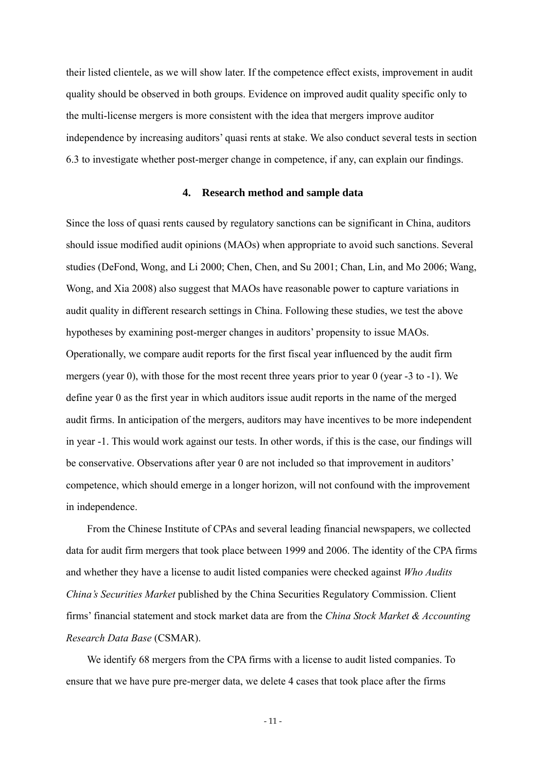their listed clientele, as we will show later. If the competence effect exists, improvement in audit quality should be observed in both groups. Evidence on improved audit quality specific only to the multi-license mergers is more consistent with the idea that mergers improve auditor independence by increasing auditors' quasi rents at stake. We also conduct several tests in section 6.3 to investigate whether post-merger change in competence, if any, can explain our findings.

#### **4. Research method and sample data**

Since the loss of quasi rents caused by regulatory sanctions can be significant in China, auditors should issue modified audit opinions (MAOs) when appropriate to avoid such sanctions. Several studies (DeFond, Wong, and Li 2000; Chen, Chen, and Su 2001; Chan, Lin, and Mo 2006; Wang, Wong, and Xia 2008) also suggest that MAOs have reasonable power to capture variations in audit quality in different research settings in China. Following these studies, we test the above hypotheses by examining post-merger changes in auditors' propensity to issue MAOs. Operationally, we compare audit reports for the first fiscal year influenced by the audit firm mergers (year 0), with those for the most recent three years prior to year 0 (year -3 to -1). We define year 0 as the first year in which auditors issue audit reports in the name of the merged audit firms. In anticipation of the mergers, auditors may have incentives to be more independent in year -1. This would work against our tests. In other words, if this is the case, our findings will be conservative. Observations after year 0 are not included so that improvement in auditors' competence, which should emerge in a longer horizon, will not confound with the improvement in independence.

From the Chinese Institute of CPAs and several leading financial newspapers, we collected data for audit firm mergers that took place between 1999 and 2006. The identity of the CPA firms and whether they have a license to audit listed companies were checked against *Who Audits China's Securities Market* published by the China Securities Regulatory Commission. Client firms' financial statement and stock market data are from the *China Stock Market & Accounting Research Data Base* (CSMAR).

We identify 68 mergers from the CPA firms with a license to audit listed companies. To ensure that we have pure pre-merger data, we delete 4 cases that took place after the firms

- 11 -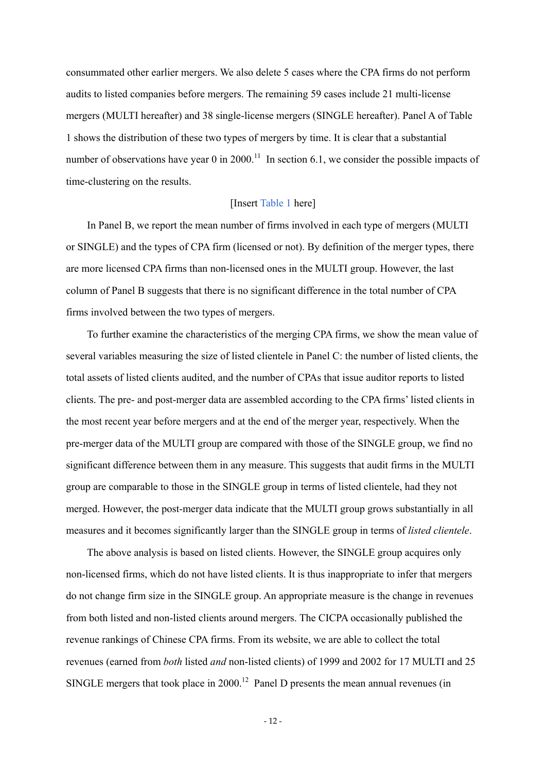consummated other earlier mergers. We also delete 5 cases where the CPA firms do not perform audits to listed companies before mergers. The remaining 59 cases include 21 multi-license mergers (MULTI hereafter) and 38 single-license mergers (SINGLE hereafter). Panel A of Table 1 shows the distribution of these two types of mergers by time. It is clear that a substantial number of observations have year 0 in 2000.<sup>11</sup> In section 6.1, we consider the possible impacts of time-clustering on the results.

#### [Insert Table 1 here]

In Panel B, we report the mean number of firms involved in each type of mergers (MULTI or SINGLE) and the types of CPA firm (licensed or not). By definition of the merger types, there are more licensed CPA firms than non-licensed ones in the MULTI group. However, the last column of Panel B suggests that there is no significant difference in the total number of CPA firms involved between the two types of mergers.

To further examine the characteristics of the merging CPA firms, we show the mean value of several variables measuring the size of listed clientele in Panel C: the number of listed clients, the total assets of listed clients audited, and the number of CPAs that issue auditor reports to listed clients. The pre- and post-merger data are assembled according to the CPA firms' listed clients in the most recent year before mergers and at the end of the merger year, respectively. When the pre-merger data of the MULTI group are compared with those of the SINGLE group, we find no significant difference between them in any measure. This suggests that audit firms in the MULTI group are comparable to those in the SINGLE group in terms of listed clientele, had they not merged. However, the post-merger data indicate that the MULTI group grows substantially in all measures and it becomes significantly larger than the SINGLE group in terms of *listed clientele*.

The above analysis is based on listed clients. However, the SINGLE group acquires only non-licensed firms, which do not have listed clients. It is thus inappropriate to infer that mergers do not change firm size in the SINGLE group. An appropriate measure is the change in revenues from both listed and non-listed clients around mergers. The CICPA occasionally published the revenue rankings of Chinese CPA firms. From its website, we are able to collect the total revenues (earned from *both* listed *and* non-listed clients) of 1999 and 2002 for 17 MULTI and 25 SINGLE mergers that took place in 2000.<sup>12</sup> Panel D presents the mean annual revenues (in

- 12 -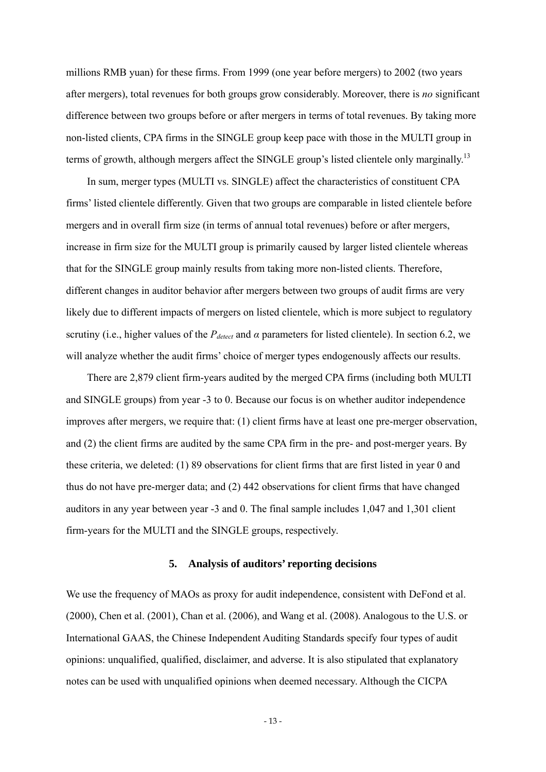millions RMB yuan) for these firms. From 1999 (one year before mergers) to 2002 (two years after mergers), total revenues for both groups grow considerably. Moreover, there is *no* significant difference between two groups before or after mergers in terms of total revenues. By taking more non-listed clients, CPA firms in the SINGLE group keep pace with those in the MULTI group in terms of growth, although mergers affect the SINGLE group's listed clientele only marginally.<sup>13</sup>

In sum, merger types (MULTI vs. SINGLE) affect the characteristics of constituent CPA firms' listed clientele differently. Given that two groups are comparable in listed clientele before mergers and in overall firm size (in terms of annual total revenues) before or after mergers, increase in firm size for the MULTI group is primarily caused by larger listed clientele whereas that for the SINGLE group mainly results from taking more non-listed clients. Therefore, different changes in auditor behavior after mergers between two groups of audit firms are very likely due to different impacts of mergers on listed clientele, which is more subject to regulatory scrutiny (i.e., higher values of the  $P_{detect}$  and  $\alpha$  parameters for listed clientele). In section 6.2, we will analyze whether the audit firms' choice of merger types endogenously affects our results.

There are 2,879 client firm-years audited by the merged CPA firms (including both MULTI and SINGLE groups) from year -3 to 0. Because our focus is on whether auditor independence improves after mergers, we require that: (1) client firms have at least one pre-merger observation, and (2) the client firms are audited by the same CPA firm in the pre- and post-merger years. By these criteria, we deleted: (1) 89 observations for client firms that are first listed in year 0 and thus do not have pre-merger data; and (2) 442 observations for client firms that have changed auditors in any year between year -3 and 0. The final sample includes 1,047 and 1,301 client firm-years for the MULTI and the SINGLE groups, respectively.

#### **5. Analysis of auditors' reporting decisions**

We use the frequency of MAOs as proxy for audit independence, consistent with DeFond et al. (2000), Chen et al. (2001), Chan et al. (2006), and Wang et al. (2008). Analogous to the U.S. or International GAAS, the Chinese Independent Auditing Standards specify four types of audit opinions: unqualified, qualified, disclaimer, and adverse. It is also stipulated that explanatory notes can be used with unqualified opinions when deemed necessary. Although the CICPA

- 13 -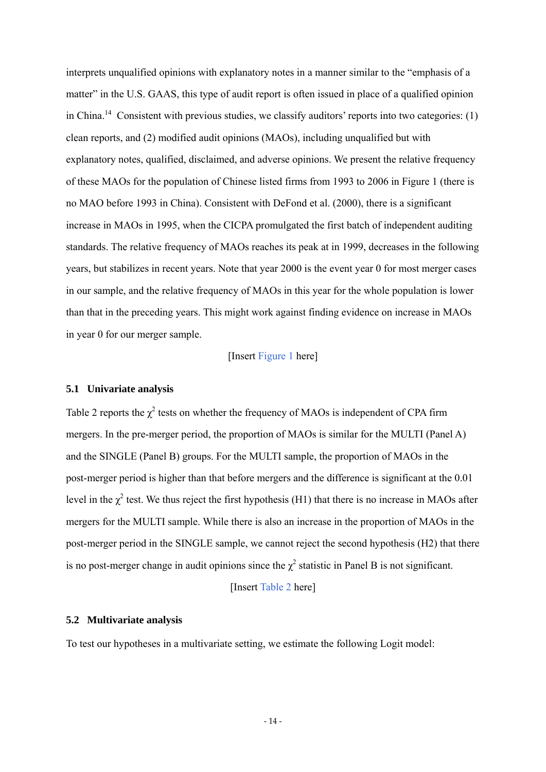interprets unqualified opinions with explanatory notes in a manner similar to the "emphasis of a matter" in the U.S. GAAS, this type of audit report is often issued in place of a qualified opinion in China.<sup>14</sup> Consistent with previous studies, we classify auditors' reports into two categories: (1) clean reports, and (2) modified audit opinions (MAOs), including unqualified but with explanatory notes, qualified, disclaimed, and adverse opinions. We present the relative frequency of these MAOs for the population of Chinese listed firms from 1993 to 2006 in Figure 1 (there is no MAO before 1993 in China). Consistent with DeFond et al. (2000), there is a significant increase in MAOs in 1995, when the CICPA promulgated the first batch of independent auditing standards. The relative frequency of MAOs reaches its peak at in 1999, decreases in the following years, but stabilizes in recent years. Note that year 2000 is the event year 0 for most merger cases in our sample, and the relative frequency of MAOs in this year for the whole population is lower than that in the preceding years. This might work against finding evidence on increase in MAOs in year 0 for our merger sample.

## [Insert Figure 1 here]

## **5.1 Univariate analysis**

Table 2 reports the  $\chi^2$  tests on whether the frequency of MAOs is independent of CPA firm mergers. In the pre-merger period, the proportion of MAOs is similar for the MULTI (Panel A) and the SINGLE (Panel B) groups. For the MULTI sample, the proportion of MAOs in the post-merger period is higher than that before mergers and the difference is significant at the 0.01 level in the  $\chi^2$  test. We thus reject the first hypothesis (H1) that there is no increase in MAOs after mergers for the MULTI sample. While there is also an increase in the proportion of MAOs in the post-merger period in the SINGLE sample, we cannot reject the second hypothesis (H2) that there is no post-merger change in audit opinions since the  $\chi^2$  statistic in Panel B is not significant.

[Insert Table 2 here]

#### **5.2 Multivariate analysis**

To test our hypotheses in a multivariate setting, we estimate the following Logit model: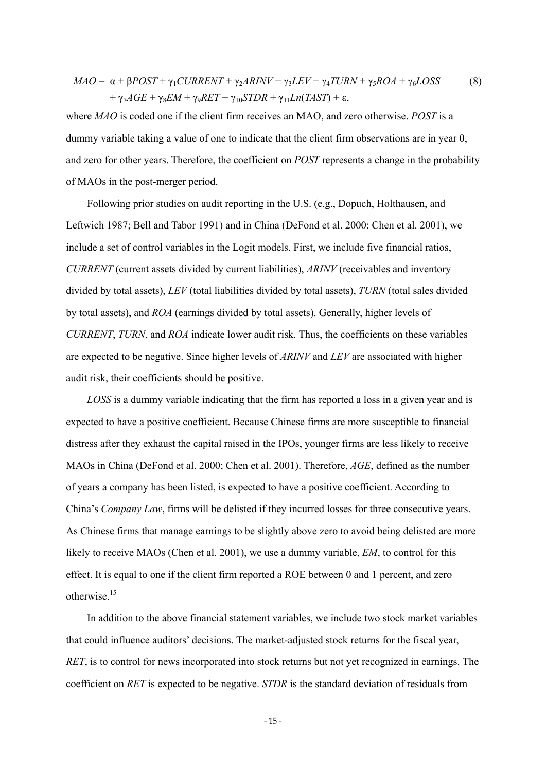$$
MAO = \alpha + \beta POST + \gamma_1 CURRENT + \gamma_2ARINV + \gamma_3LEV + \gamma_4TURN + \gamma_5ROA + \gamma_6LOSS
$$
  
+ 
$$
\gamma_7AGE + \gamma_8 EM + \gamma_9RET + \gamma_{10}STDR + \gamma_{11}Ln(TAST) + \varepsilon,
$$
 (8)

where *MAO* is coded one if the client firm receives an MAO, and zero otherwise. *POST* is a dummy variable taking a value of one to indicate that the client firm observations are in year 0, and zero for other years. Therefore, the coefficient on *POST* represents a change in the probability of MAOs in the post-merger period.

Following prior studies on audit reporting in the U.S. (e.g., Dopuch, Holthausen, and Leftwich 1987; Bell and Tabor 1991) and in China (DeFond et al. 2000; Chen et al. 2001), we include a set of control variables in the Logit models. First, we include five financial ratios, *CURRENT* (current assets divided by current liabilities), *ARINV* (receivables and inventory divided by total assets), *LEV* (total liabilities divided by total assets), *TURN* (total sales divided by total assets), and *ROA* (earnings divided by total assets). Generally, higher levels of *CURRENT*, *TURN*, and *ROA* indicate lower audit risk. Thus, the coefficients on these variables are expected to be negative. Since higher levels of *ARINV* and *LEV* are associated with higher audit risk, their coefficients should be positive.

*LOSS* is a dummy variable indicating that the firm has reported a loss in a given year and is expected to have a positive coefficient. Because Chinese firms are more susceptible to financial distress after they exhaust the capital raised in the IPOs, younger firms are less likely to receive MAOs in China (DeFond et al. 2000; Chen et al. 2001). Therefore, *AGE*, defined as the number of years a company has been listed, is expected to have a positive coefficient. According to China's *Company Law*, firms will be delisted if they incurred losses for three consecutive years. As Chinese firms that manage earnings to be slightly above zero to avoid being delisted are more likely to receive MAOs (Chen et al. 2001), we use a dummy variable, *EM*, to control for this effect. It is equal to one if the client firm reported a ROE between 0 and 1 percent, and zero otherwise.15

In addition to the above financial statement variables, we include two stock market variables that could influence auditors' decisions. The market-adjusted stock returns for the fiscal year, *RET*, is to control for news incorporated into stock returns but not yet recognized in earnings. The coefficient on *RET* is expected to be negative. *STDR* is the standard deviation of residuals from

- 15 -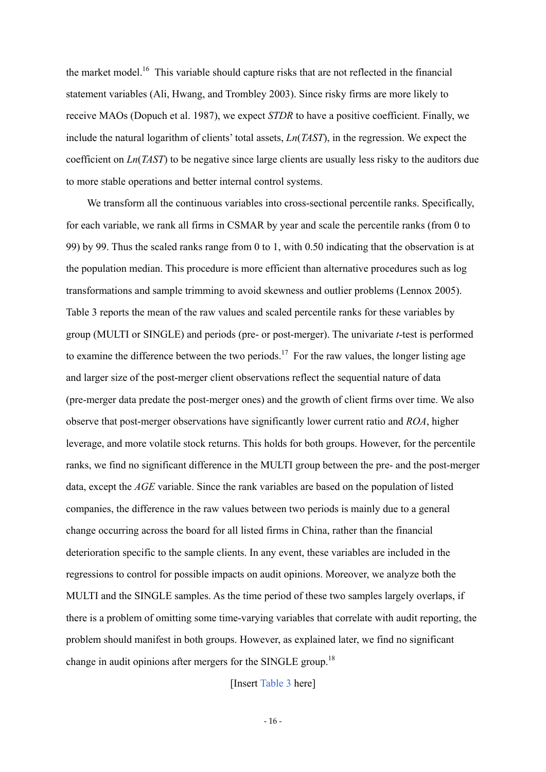the market model.<sup>16</sup> This variable should capture risks that are not reflected in the financial statement variables (Ali, Hwang, and Trombley 2003). Since risky firms are more likely to receive MAOs (Dopuch et al. 1987), we expect *STDR* to have a positive coefficient. Finally, we include the natural logarithm of clients' total assets, *Ln*(*TAST*), in the regression. We expect the coefficient on *Ln*(*TAST*) to be negative since large clients are usually less risky to the auditors due to more stable operations and better internal control systems.

We transform all the continuous variables into cross-sectional percentile ranks. Specifically, for each variable, we rank all firms in CSMAR by year and scale the percentile ranks (from 0 to 99) by 99. Thus the scaled ranks range from 0 to 1, with 0.50 indicating that the observation is at the population median. This procedure is more efficient than alternative procedures such as log transformations and sample trimming to avoid skewness and outlier problems (Lennox 2005). Table 3 reports the mean of the raw values and scaled percentile ranks for these variables by group (MULTI or SINGLE) and periods (pre- or post-merger). The univariate *t*-test is performed to examine the difference between the two periods.<sup>17</sup> For the raw values, the longer listing age and larger size of the post-merger client observations reflect the sequential nature of data (pre-merger data predate the post-merger ones) and the growth of client firms over time. We also observe that post-merger observations have significantly lower current ratio and *ROA*, higher leverage, and more volatile stock returns. This holds for both groups. However, for the percentile ranks, we find no significant difference in the MULTI group between the pre- and the post-merger data, except the *AGE* variable. Since the rank variables are based on the population of listed companies, the difference in the raw values between two periods is mainly due to a general change occurring across the board for all listed firms in China, rather than the financial deterioration specific to the sample clients. In any event, these variables are included in the regressions to control for possible impacts on audit opinions. Moreover, we analyze both the MULTI and the SINGLE samples. As the time period of these two samples largely overlaps, if there is a problem of omitting some time-varying variables that correlate with audit reporting, the problem should manifest in both groups. However, as explained later, we find no significant change in audit opinions after mergers for the SINGLE group.<sup>18</sup>

[Insert Table 3 here]

- 16 -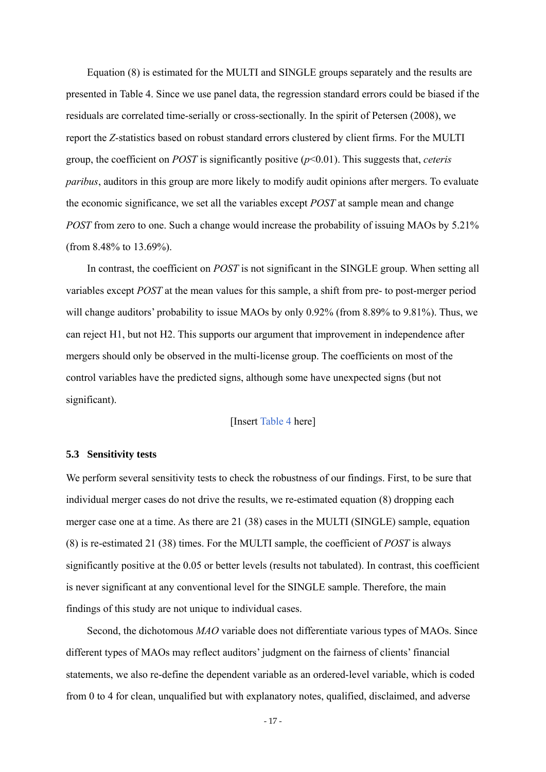Equation (8) is estimated for the MULTI and SINGLE groups separately and the results are presented in Table 4. Since we use panel data, the regression standard errors could be biased if the residuals are correlated time-serially or cross-sectionally. In the spirit of Petersen (2008), we report the *Z*-statistics based on robust standard errors clustered by client firms. For the MULTI group, the coefficient on *POST* is significantly positive (*p*<0.01). This suggests that, *ceteris paribus*, auditors in this group are more likely to modify audit opinions after mergers. To evaluate the economic significance, we set all the variables except *POST* at sample mean and change *POST* from zero to one. Such a change would increase the probability of issuing MAOs by 5.21% (from 8.48% to 13.69%).

In contrast, the coefficient on *POST* is not significant in the SINGLE group. When setting all variables except *POST* at the mean values for this sample, a shift from pre- to post-merger period will change auditors' probability to issue MAOs by only 0.92% (from 8.89% to 9.81%). Thus, we can reject H1, but not H2. This supports our argument that improvement in independence after mergers should only be observed in the multi-license group. The coefficients on most of the control variables have the predicted signs, although some have unexpected signs (but not significant).

## [Insert Table 4 here]

#### **5.3 Sensitivity tests**

We perform several sensitivity tests to check the robustness of our findings. First, to be sure that individual merger cases do not drive the results, we re-estimated equation (8) dropping each merger case one at a time. As there are 21 (38) cases in the MULTI (SINGLE) sample, equation (8) is re-estimated 21 (38) times. For the MULTI sample, the coefficient of *POST* is always significantly positive at the 0.05 or better levels (results not tabulated). In contrast, this coefficient is never significant at any conventional level for the SINGLE sample. Therefore, the main findings of this study are not unique to individual cases.

Second, the dichotomous *MAO* variable does not differentiate various types of MAOs. Since different types of MAOs may reflect auditors' judgment on the fairness of clients' financial statements, we also re-define the dependent variable as an ordered-level variable, which is coded from 0 to 4 for clean, unqualified but with explanatory notes, qualified, disclaimed, and adverse

- 17 -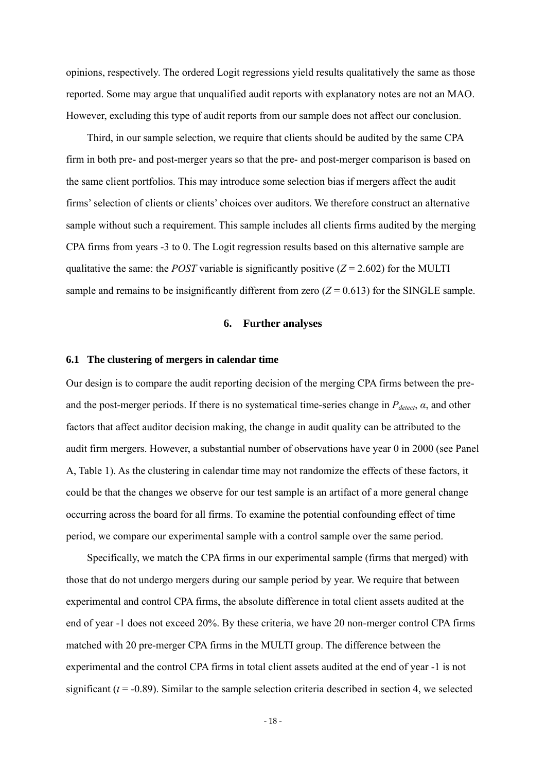opinions, respectively. The ordered Logit regressions yield results qualitatively the same as those reported. Some may argue that unqualified audit reports with explanatory notes are not an MAO. However, excluding this type of audit reports from our sample does not affect our conclusion.

Third, in our sample selection, we require that clients should be audited by the same CPA firm in both pre- and post-merger years so that the pre- and post-merger comparison is based on the same client portfolios. This may introduce some selection bias if mergers affect the audit firms' selection of clients or clients' choices over auditors. We therefore construct an alternative sample without such a requirement. This sample includes all clients firms audited by the merging CPA firms from years -3 to 0. The Logit regression results based on this alternative sample are qualitative the same: the *POST* variable is significantly positive  $(Z = 2.602)$  for the MULTI sample and remains to be insignificantly different from zero  $(Z = 0.613)$  for the SINGLE sample.

#### **6. Further analyses**

#### **6.1 The clustering of mergers in calendar time**

Our design is to compare the audit reporting decision of the merging CPA firms between the preand the post-merger periods. If there is no systematical time-series change in  $P_{detect}$ ,  $\alpha$ , and other factors that affect auditor decision making, the change in audit quality can be attributed to the audit firm mergers. However, a substantial number of observations have year 0 in 2000 (see Panel A, Table 1). As the clustering in calendar time may not randomize the effects of these factors, it could be that the changes we observe for our test sample is an artifact of a more general change occurring across the board for all firms. To examine the potential confounding effect of time period, we compare our experimental sample with a control sample over the same period.

Specifically, we match the CPA firms in our experimental sample (firms that merged) with those that do not undergo mergers during our sample period by year. We require that between experimental and control CPA firms, the absolute difference in total client assets audited at the end of year -1 does not exceed 20%. By these criteria, we have 20 non-merger control CPA firms matched with 20 pre-merger CPA firms in the MULTI group. The difference between the experimental and the control CPA firms in total client assets audited at the end of year -1 is not significant  $(t = -0.89)$ . Similar to the sample selection criteria described in section 4, we selected

- 18 -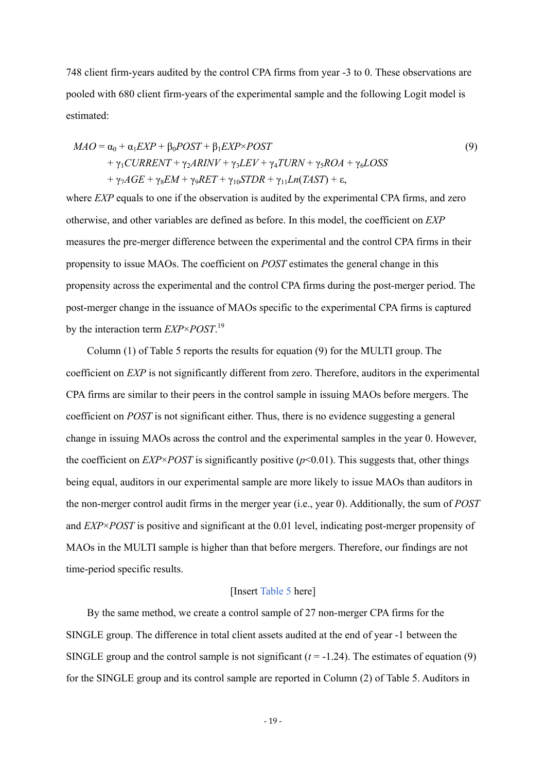748 client firm-years audited by the control CPA firms from year -3 to 0. These observations are pooled with 680 client firm-years of the experimental sample and the following Logit model is estimated:

$$
MAO = \alpha_0 + \alpha_1 EXP + \beta_0 POST + \beta_1 EXP \times POST
$$
  
+  $\gamma_1 CURRENT + \gamma_2 ARINV + \gamma_3 LEV + \gamma_4 TURN + \gamma_5 ROA + \gamma_6 LOSS$   
+  $\gamma_7 AGE + \gamma_8 EM + \gamma_9 RET + \gamma_{10} STDR + \gamma_{11} Ln(TAST) + \varepsilon$ , (9)

where *EXP* equals to one if the observation is audited by the experimental CPA firms, and zero otherwise, and other variables are defined as before. In this model, the coefficient on *EXP* measures the pre-merger difference between the experimental and the control CPA firms in their propensity to issue MAOs. The coefficient on *POST* estimates the general change in this propensity across the experimental and the control CPA firms during the post-merger period. The post-merger change in the issuance of MAOs specific to the experimental CPA firms is captured by the interaction term *EXP*×*POST*. 19

Column (1) of Table 5 reports the results for equation (9) for the MULTI group. The coefficient on *EXP* is not significantly different from zero. Therefore, auditors in the experimental CPA firms are similar to their peers in the control sample in issuing MAOs before mergers. The coefficient on *POST* is not significant either. Thus, there is no evidence suggesting a general change in issuing MAOs across the control and the experimental samples in the year 0. However, the coefficient on *EXP*×*POST* is significantly positive ( $p$ <0.01). This suggests that, other things being equal, auditors in our experimental sample are more likely to issue MAOs than auditors in the non-merger control audit firms in the merger year (i.e., year 0). Additionally, the sum of *POST* and *EXP*×*POST* is positive and significant at the 0.01 level, indicating post-merger propensity of MAOs in the MULTI sample is higher than that before mergers. Therefore, our findings are not time-period specific results.

## [Insert Table 5 here]

By the same method, we create a control sample of 27 non-merger CPA firms for the SINGLE group. The difference in total client assets audited at the end of year -1 between the SINGLE group and the control sample is not significant  $(t = -1.24)$ . The estimates of equation (9) for the SINGLE group and its control sample are reported in Column (2) of Table 5. Auditors in

- 19 -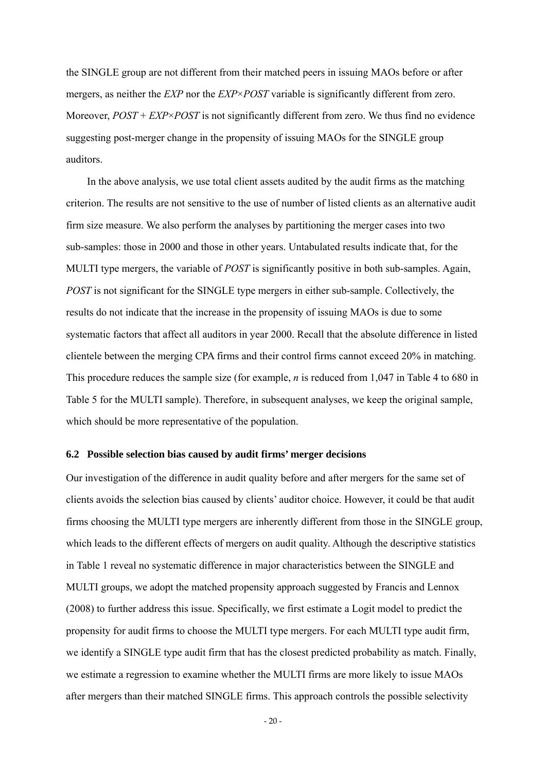the SINGLE group are not different from their matched peers in issuing MAOs before or after mergers, as neither the *EXP* nor the *EXP*×*POST* variable is significantly different from zero. Moreover, *POST* + *EXP*×*POST* is not significantly different from zero. We thus find no evidence suggesting post-merger change in the propensity of issuing MAOs for the SINGLE group auditors.

In the above analysis, we use total client assets audited by the audit firms as the matching criterion. The results are not sensitive to the use of number of listed clients as an alternative audit firm size measure. We also perform the analyses by partitioning the merger cases into two sub-samples: those in 2000 and those in other years. Untabulated results indicate that, for the MULTI type mergers, the variable of *POST* is significantly positive in both sub-samples. Again, *POST* is not significant for the SINGLE type mergers in either sub-sample. Collectively, the results do not indicate that the increase in the propensity of issuing MAOs is due to some systematic factors that affect all auditors in year 2000. Recall that the absolute difference in listed clientele between the merging CPA firms and their control firms cannot exceed 20% in matching. This procedure reduces the sample size (for example, *n* is reduced from 1,047 in Table 4 to 680 in Table 5 for the MULTI sample). Therefore, in subsequent analyses, we keep the original sample, which should be more representative of the population.

#### **6.2 Possible selection bias caused by audit firms' merger decisions**

Our investigation of the difference in audit quality before and after mergers for the same set of clients avoids the selection bias caused by clients' auditor choice. However, it could be that audit firms choosing the MULTI type mergers are inherently different from those in the SINGLE group, which leads to the different effects of mergers on audit quality. Although the descriptive statistics in Table 1 reveal no systematic difference in major characteristics between the SINGLE and MULTI groups, we adopt the matched propensity approach suggested by Francis and Lennox (2008) to further address this issue. Specifically, we first estimate a Logit model to predict the propensity for audit firms to choose the MULTI type mergers. For each MULTI type audit firm, we identify a SINGLE type audit firm that has the closest predicted probability as match. Finally, we estimate a regression to examine whether the MULTI firms are more likely to issue MAOs after mergers than their matched SINGLE firms. This approach controls the possible selectivity

 $-20-$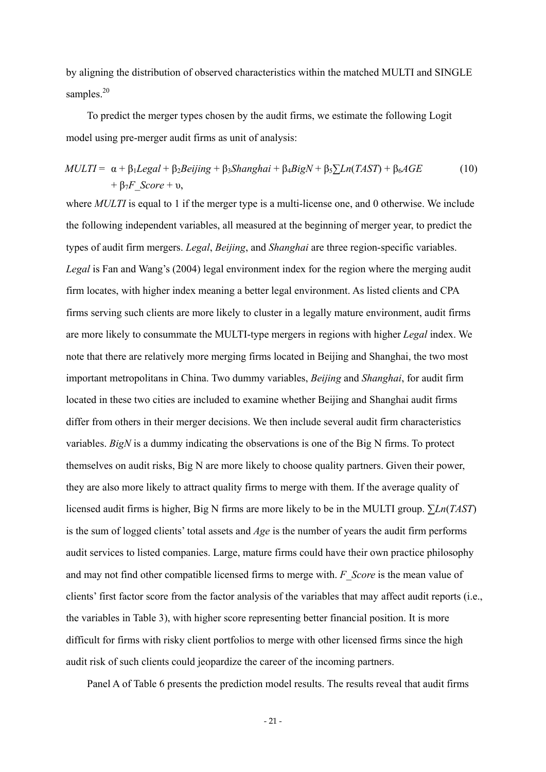by aligning the distribution of observed characteristics within the matched MULTI and SINGLE samples.<sup>20</sup>

To predict the merger types chosen by the audit firms, we estimate the following Logit model using pre-merger audit firms as unit of analysis:

$$
MULTI = \alpha + \beta_1 Legal + \beta_2 Beijing + \beta_3 Shanghai + \beta_4 BigN + \beta_5 \sum Ln(TAST) + \beta_6AGE
$$
  
+  $\beta_7 F\_Score + \nu$ , (10)

where *MULTI* is equal to 1 if the merger type is a multi-license one, and 0 otherwise. We include the following independent variables, all measured at the beginning of merger year, to predict the types of audit firm mergers. *Legal*, *Beijing*, and *Shanghai* are three region-specific variables. *Legal* is Fan and Wang's (2004) legal environment index for the region where the merging audit firm locates, with higher index meaning a better legal environment. As listed clients and CPA firms serving such clients are more likely to cluster in a legally mature environment, audit firms are more likely to consummate the MULTI-type mergers in regions with higher *Legal* index. We note that there are relatively more merging firms located in Beijing and Shanghai, the two most important metropolitans in China. Two dummy variables, *Beijing* and *Shanghai*, for audit firm located in these two cities are included to examine whether Beijing and Shanghai audit firms differ from others in their merger decisions. We then include several audit firm characteristics variables. *BigN* is a dummy indicating the observations is one of the Big N firms. To protect themselves on audit risks, Big N are more likely to choose quality partners. Given their power, they are also more likely to attract quality firms to merge with them. If the average quality of licensed audit firms is higher, Big N firms are more likely to be in the MULTI group. ∑*Ln*(*TAST*) is the sum of logged clients' total assets and *Age* is the number of years the audit firm performs audit services to listed companies. Large, mature firms could have their own practice philosophy and may not find other compatible licensed firms to merge with. *F\_Score* is the mean value of clients' first factor score from the factor analysis of the variables that may affect audit reports (i.e., the variables in Table 3), with higher score representing better financial position. It is more difficult for firms with risky client portfolios to merge with other licensed firms since the high audit risk of such clients could jeopardize the career of the incoming partners.

Panel A of Table 6 presents the prediction model results. The results reveal that audit firms

- 21 -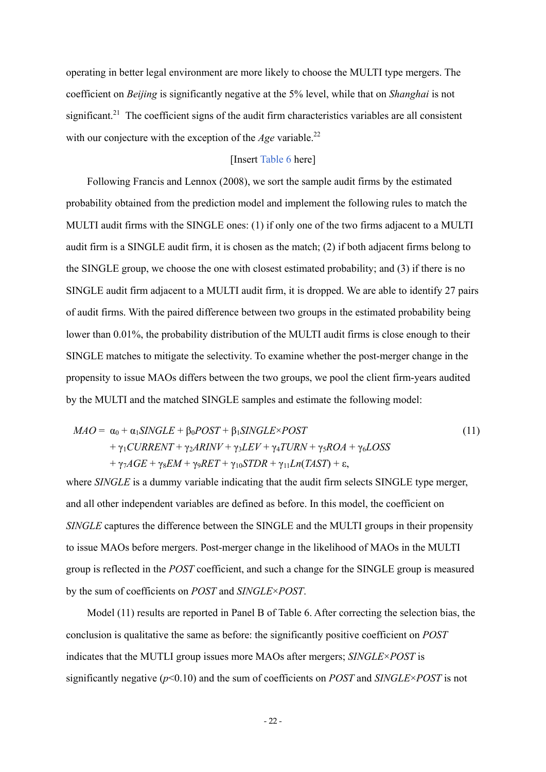operating in better legal environment are more likely to choose the MULTI type mergers. The coefficient on *Beijing* is significantly negative at the 5% level, while that on *Shanghai* is not significant.<sup>21</sup> The coefficient signs of the audit firm characteristics variables are all consistent with our conjecture with the exception of the *Age* variable.<sup>22</sup>

## [Insert Table 6 here]

Following Francis and Lennox (2008), we sort the sample audit firms by the estimated probability obtained from the prediction model and implement the following rules to match the MULTI audit firms with the SINGLE ones: (1) if only one of the two firms adjacent to a MULTI audit firm is a SINGLE audit firm, it is chosen as the match; (2) if both adjacent firms belong to the SINGLE group, we choose the one with closest estimated probability; and (3) if there is no SINGLE audit firm adjacent to a MULTI audit firm, it is dropped. We are able to identify 27 pairs of audit firms. With the paired difference between two groups in the estimated probability being lower than 0.01%, the probability distribution of the MULTI audit firms is close enough to their SINGLE matches to mitigate the selectivity. To examine whether the post-merger change in the propensity to issue MAOs differs between the two groups, we pool the client firm-years audited by the MULTI and the matched SINGLE samples and estimate the following model:

$$
MAO = \alpha_0 + \alpha_1 SINGLE + \beta_0 POST + \beta_1 SINGLE \times POST + \gamma_1 CURRENT + \gamma_2 ARINV + \gamma_3 LEV + \gamma_4 TURN + \gamma_5 ROA + \gamma_6 LOSS + \gamma_7 A GE + \gamma_8 EM + \gamma_9 RET + \gamma_{10} STDR + \gamma_{11} Ln(TAST) + \varepsilon,
$$
\n(11)

where *SINGLE* is a dummy variable indicating that the audit firm selects SINGLE type merger, and all other independent variables are defined as before. In this model, the coefficient on *SINGLE* captures the difference between the SINGLE and the MULTI groups in their propensity to issue MAOs before mergers. Post-merger change in the likelihood of MAOs in the MULTI group is reflected in the *POST* coefficient, and such a change for the SINGLE group is measured by the sum of coefficients on *POST* and *SINGLE*×*POST*.

Model (11) results are reported in Panel B of Table 6. After correcting the selection bias, the conclusion is qualitative the same as before: the significantly positive coefficient on *POST* indicates that the MUTLI group issues more MAOs after mergers; *SINGLE*×*POST* is significantly negative (*p*<0.10) and the sum of coefficients on *POST* and *SINGLE*×*POST* is not

- 22 -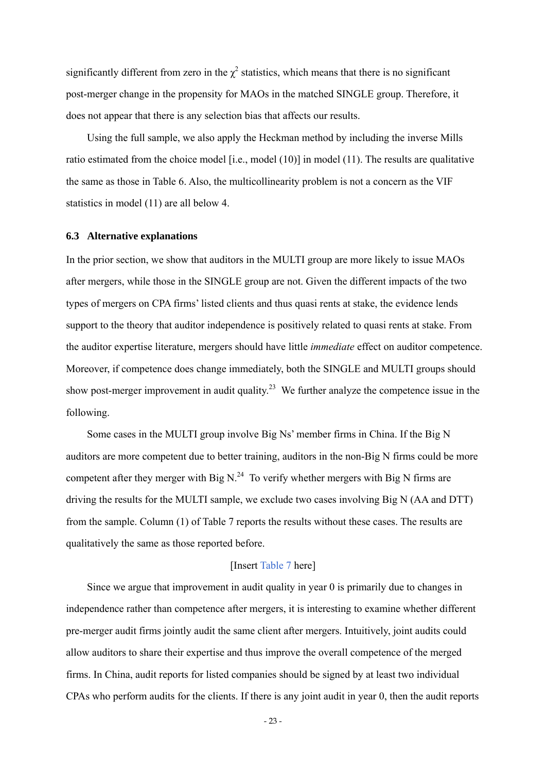significantly different from zero in the  $\chi^2$  statistics, which means that there is no significant post-merger change in the propensity for MAOs in the matched SINGLE group. Therefore, it does not appear that there is any selection bias that affects our results.

Using the full sample, we also apply the Heckman method by including the inverse Mills ratio estimated from the choice model [i.e., model (10)] in model (11). The results are qualitative the same as those in Table 6. Also, the multicollinearity problem is not a concern as the VIF statistics in model (11) are all below 4.

#### **6.3 Alternative explanations**

In the prior section, we show that auditors in the MULTI group are more likely to issue MAOs after mergers, while those in the SINGLE group are not. Given the different impacts of the two types of mergers on CPA firms' listed clients and thus quasi rents at stake, the evidence lends support to the theory that auditor independence is positively related to quasi rents at stake. From the auditor expertise literature, mergers should have little *immediate* effect on auditor competence. Moreover, if competence does change immediately, both the SINGLE and MULTI groups should show post-merger improvement in audit quality.<sup>23</sup> We further analyze the competence issue in the following.

Some cases in the MULTI group involve Big Ns' member firms in China. If the Big N auditors are more competent due to better training, auditors in the non-Big N firms could be more competent after they merger with Big N.<sup>24</sup> To verify whether mergers with Big N firms are driving the results for the MULTI sample, we exclude two cases involving Big N (AA and DTT) from the sample. Column (1) of Table 7 reports the results without these cases. The results are qualitatively the same as those reported before.

#### [Insert Table 7 here]

Since we argue that improvement in audit quality in year 0 is primarily due to changes in independence rather than competence after mergers, it is interesting to examine whether different pre-merger audit firms jointly audit the same client after mergers. Intuitively, joint audits could allow auditors to share their expertise and thus improve the overall competence of the merged firms. In China, audit reports for listed companies should be signed by at least two individual CPAs who perform audits for the clients. If there is any joint audit in year 0, then the audit reports

- 23 -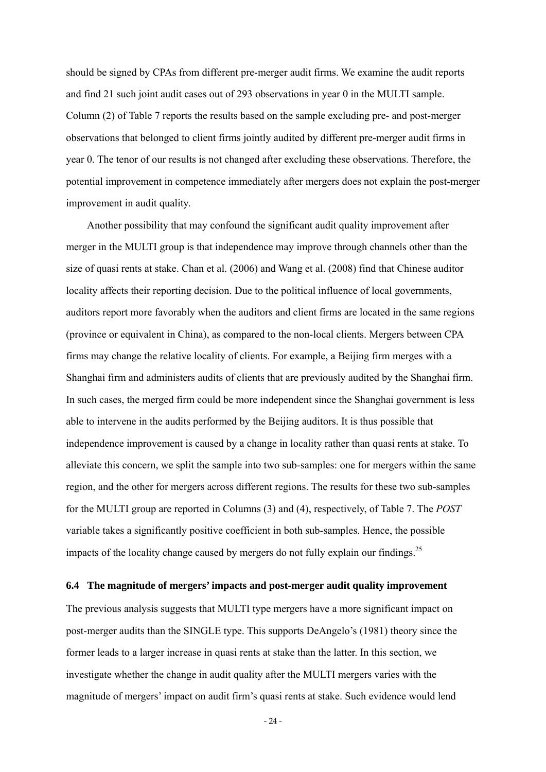should be signed by CPAs from different pre-merger audit firms. We examine the audit reports and find 21 such joint audit cases out of 293 observations in year 0 in the MULTI sample. Column (2) of Table 7 reports the results based on the sample excluding pre- and post-merger observations that belonged to client firms jointly audited by different pre-merger audit firms in year 0. The tenor of our results is not changed after excluding these observations. Therefore, the potential improvement in competence immediately after mergers does not explain the post-merger improvement in audit quality.

Another possibility that may confound the significant audit quality improvement after merger in the MULTI group is that independence may improve through channels other than the size of quasi rents at stake. Chan et al. (2006) and Wang et al. (2008) find that Chinese auditor locality affects their reporting decision. Due to the political influence of local governments, auditors report more favorably when the auditors and client firms are located in the same regions (province or equivalent in China), as compared to the non-local clients. Mergers between CPA firms may change the relative locality of clients. For example, a Beijing firm merges with a Shanghai firm and administers audits of clients that are previously audited by the Shanghai firm. In such cases, the merged firm could be more independent since the Shanghai government is less able to intervene in the audits performed by the Beijing auditors. It is thus possible that independence improvement is caused by a change in locality rather than quasi rents at stake. To alleviate this concern, we split the sample into two sub-samples: one for mergers within the same region, and the other for mergers across different regions. The results for these two sub-samples for the MULTI group are reported in Columns (3) and (4), respectively, of Table 7. The *POST* variable takes a significantly positive coefficient in both sub-samples. Hence, the possible impacts of the locality change caused by mergers do not fully explain our findings.<sup>25</sup>

#### **6.4 The magnitude of mergers' impacts and post-merger audit quality improvement**

The previous analysis suggests that MULTI type mergers have a more significant impact on post-merger audits than the SINGLE type. This supports DeAngelo's (1981) theory since the former leads to a larger increase in quasi rents at stake than the latter. In this section, we investigate whether the change in audit quality after the MULTI mergers varies with the magnitude of mergers' impact on audit firm's quasi rents at stake. Such evidence would lend

- 24 -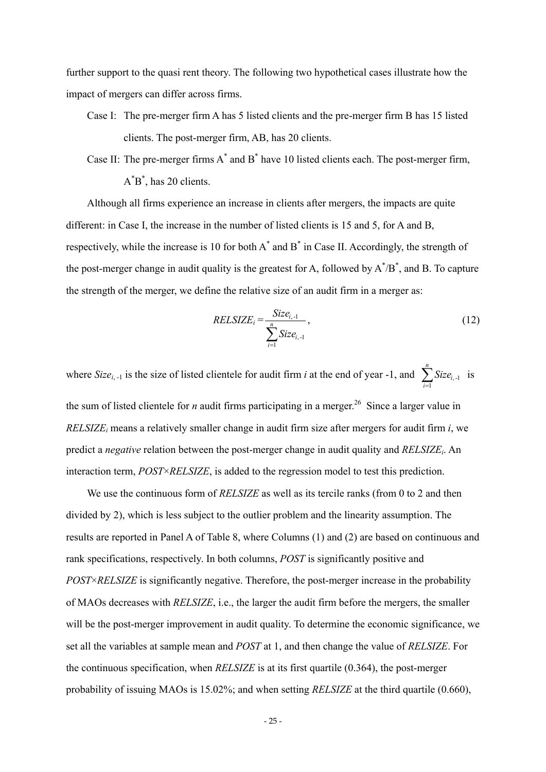further support to the quasi rent theory. The following two hypothetical cases illustrate how the impact of mergers can differ across firms.

Case I: The pre-merger firm A has 5 listed clients and the pre-merger firm B has 15 listed clients. The post-merger firm, AB, has 20 clients.

Case II: The pre-merger firms  $A^*$  and  $B^*$  have 10 listed clients each. The post-merger firm,  $A^*B^*$ , has 20 clients.

Although all firms experience an increase in clients after mergers, the impacts are quite different: in Case I, the increase in the number of listed clients is 15 and 5, for A and B, respectively, while the increase is 10 for both  $A^*$  and  $B^*$  in Case II. Accordingly, the strength of the post-merger change in audit quality is the greatest for A, followed by  $A^{\dagger}/B^*$ , and B. To capture the strength of the merger, we define the relative size of an audit firm in a merger as:

$$
RELSIZE_i = \frac{Size_{i, -1}}{\sum_{i=1}^{n} Size_{i, -1}},
$$
\n(12)

where *Size*<sub>*i*, -1</sub> is the size of listed clientele for audit firm *i* at the end of year -1, and  $\sum_{i=1}^{n}$ *i*  $Size_{i,-1}$  is 1

the sum of listed clientele for *n* audit firms participating in a merger.<sup>26</sup> Since a larger value in *RELSIZEi* means a relatively smaller change in audit firm size after mergers for audit firm *i*, we predict a *negative* relation between the post-merger change in audit quality and *RELSIZEi*. An interaction term, *POST*×*RELSIZE*, is added to the regression model to test this prediction.

We use the continuous form of *RELSIZE* as well as its tercile ranks (from 0 to 2 and then divided by 2), which is less subject to the outlier problem and the linearity assumption. The results are reported in Panel A of Table 8, where Columns (1) and (2) are based on continuous and rank specifications, respectively. In both columns, *POST* is significantly positive and *POST*×*RELSIZE* is significantly negative. Therefore, the post-merger increase in the probability of MAOs decreases with *RELSIZE*, i.e., the larger the audit firm before the mergers, the smaller will be the post-merger improvement in audit quality. To determine the economic significance, we set all the variables at sample mean and *POST* at 1, and then change the value of *RELSIZE*. For the continuous specification, when *RELSIZE* is at its first quartile (0.364), the post-merger probability of issuing MAOs is 15.02%; and when setting *RELSIZE* at the third quartile (0.660),

- 25 -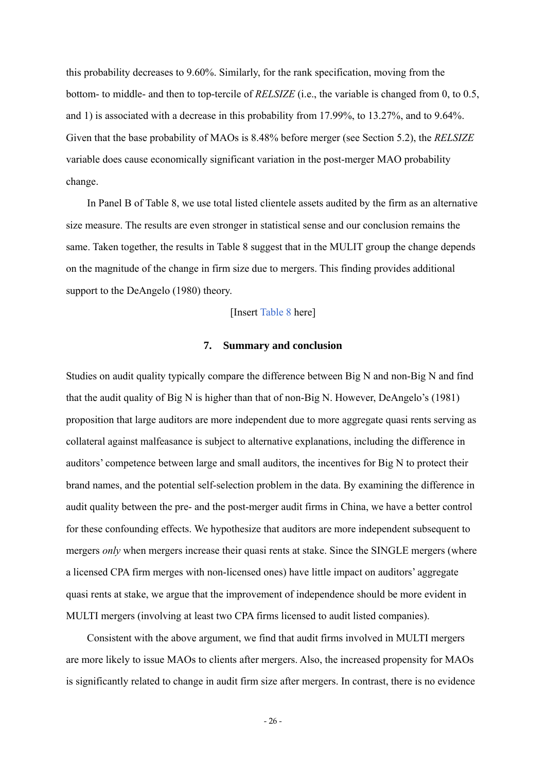this probability decreases to 9.60%. Similarly, for the rank specification, moving from the bottom- to middle- and then to top-tercile of *RELSIZE* (i.e., the variable is changed from 0, to 0.5, and 1) is associated with a decrease in this probability from 17.99%, to 13.27%, and to 9.64%. Given that the base probability of MAOs is 8.48% before merger (see Section 5.2), the *RELSIZE* variable does cause economically significant variation in the post-merger MAO probability change.

In Panel B of Table 8, we use total listed clientele assets audited by the firm as an alternative size measure. The results are even stronger in statistical sense and our conclusion remains the same. Taken together, the results in Table 8 suggest that in the MULIT group the change depends on the magnitude of the change in firm size due to mergers. This finding provides additional support to the DeAngelo (1980) theory.

#### [Insert Table 8 here]

## **7. Summary and conclusion**

Studies on audit quality typically compare the difference between Big N and non-Big N and find that the audit quality of Big N is higher than that of non-Big N. However, DeAngelo's (1981) proposition that large auditors are more independent due to more aggregate quasi rents serving as collateral against malfeasance is subject to alternative explanations, including the difference in auditors' competence between large and small auditors, the incentives for Big N to protect their brand names, and the potential self-selection problem in the data. By examining the difference in audit quality between the pre- and the post-merger audit firms in China, we have a better control for these confounding effects. We hypothesize that auditors are more independent subsequent to mergers *only* when mergers increase their quasi rents at stake. Since the SINGLE mergers (where a licensed CPA firm merges with non-licensed ones) have little impact on auditors' aggregate quasi rents at stake, we argue that the improvement of independence should be more evident in MULTI mergers (involving at least two CPA firms licensed to audit listed companies).

Consistent with the above argument, we find that audit firms involved in MULTI mergers are more likely to issue MAOs to clients after mergers. Also, the increased propensity for MAOs is significantly related to change in audit firm size after mergers. In contrast, there is no evidence

- 26 -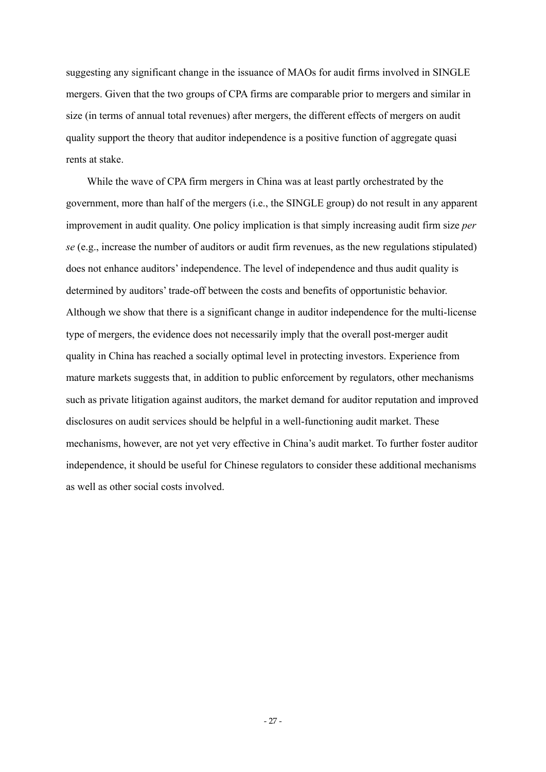suggesting any significant change in the issuance of MAOs for audit firms involved in SINGLE mergers. Given that the two groups of CPA firms are comparable prior to mergers and similar in size (in terms of annual total revenues) after mergers, the different effects of mergers on audit quality support the theory that auditor independence is a positive function of aggregate quasi rents at stake.

While the wave of CPA firm mergers in China was at least partly orchestrated by the government, more than half of the mergers (i.e., the SINGLE group) do not result in any apparent improvement in audit quality. One policy implication is that simply increasing audit firm size *per se* (e.g., increase the number of auditors or audit firm revenues, as the new regulations stipulated) does not enhance auditors' independence. The level of independence and thus audit quality is determined by auditors' trade-off between the costs and benefits of opportunistic behavior. Although we show that there is a significant change in auditor independence for the multi-license type of mergers, the evidence does not necessarily imply that the overall post-merger audit quality in China has reached a socially optimal level in protecting investors. Experience from mature markets suggests that, in addition to public enforcement by regulators, other mechanisms such as private litigation against auditors, the market demand for auditor reputation and improved disclosures on audit services should be helpful in a well-functioning audit market. These mechanisms, however, are not yet very effective in China's audit market. To further foster auditor independence, it should be useful for Chinese regulators to consider these additional mechanisms as well as other social costs involved.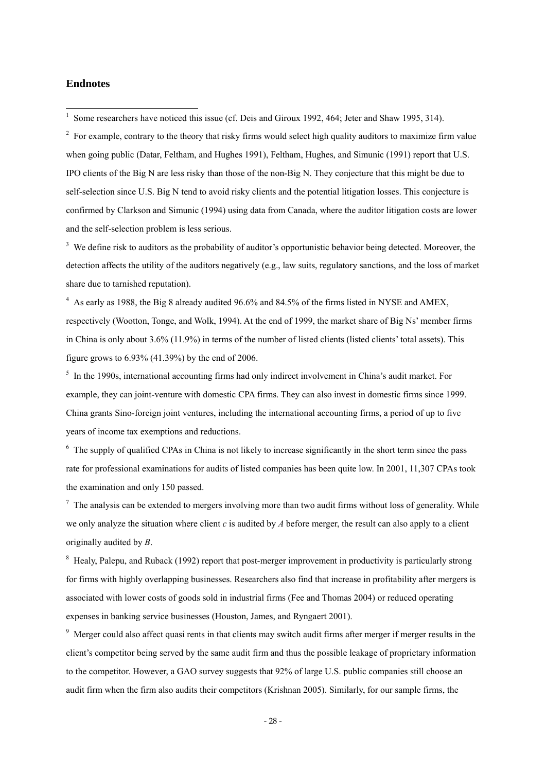## **Endnotes**

 $2\degree$  For example, contrary to the theory that risky firms would select high quality auditors to maximize firm value when going public (Datar, Feltham, and Hughes 1991), Feltham, Hughes, and Simunic (1991) report that U.S. IPO clients of the Big N are less risky than those of the non-Big N. They conjecture that this might be due to self-selection since U.S. Big N tend to avoid risky clients and the potential litigation losses. This conjecture is confirmed by Clarkson and Simunic (1994) using data from Canada, where the auditor litigation costs are lower and the self-selection problem is less serious.

<sup>3</sup> We define risk to auditors as the probability of auditor's opportunistic behavior being detected. Moreover, the detection affects the utility of the auditors negatively (e.g., law suits, regulatory sanctions, and the loss of market share due to tarnished reputation).

 $4$  As early as 1988, the Big 8 already audited 96.6% and 84.5% of the firms listed in NYSE and AMEX, respectively (Wootton, Tonge, and Wolk, 1994). At the end of 1999, the market share of Big Ns' member firms in China is only about 3.6% (11.9%) in terms of the number of listed clients (listed clients' total assets). This figure grows to 6.93% (41.39%) by the end of 2006.

<sup>5</sup> In the 1990s, international accounting firms had only indirect involvement in China's audit market. For example, they can joint-venture with domestic CPA firms. They can also invest in domestic firms since 1999. China grants Sino-foreign joint ventures, including the international accounting firms, a period of up to five years of income tax exemptions and reductions.

<sup>6</sup> The supply of qualified CPAs in China is not likely to increase significantly in the short term since the pass rate for professional examinations for audits of listed companies has been quite low. In 2001, 11,307 CPAs took the examination and only 150 passed.

 $<sup>7</sup>$  The analysis can be extended to mergers involving more than two audit firms without loss of generality. While</sup> we only analyze the situation where client *c* is audited by *A* before merger, the result can also apply to a client originally audited by *B*.

<sup>8</sup> Healy, Palepu, and Ruback (1992) report that post-merger improvement in productivity is particularly strong for firms with highly overlapping businesses. Researchers also find that increase in profitability after mergers is associated with lower costs of goods sold in industrial firms (Fee and Thomas 2004) or reduced operating expenses in banking service businesses (Houston, James, and Ryngaert 2001).

<sup>9</sup> Merger could also affect quasi rents in that clients may switch audit firms after merger if merger results in the client's competitor being served by the same audit firm and thus the possible leakage of proprietary information to the competitor. However, a GAO survey suggests that 92% of large U.S. public companies still choose an audit firm when the firm also audits their competitors (Krishnan 2005). Similarly, for our sample firms, the

<sup>&</sup>lt;sup>1</sup> Some researchers have noticed this issue (cf. Deis and Giroux 1992, 464; Jeter and Shaw 1995, 314).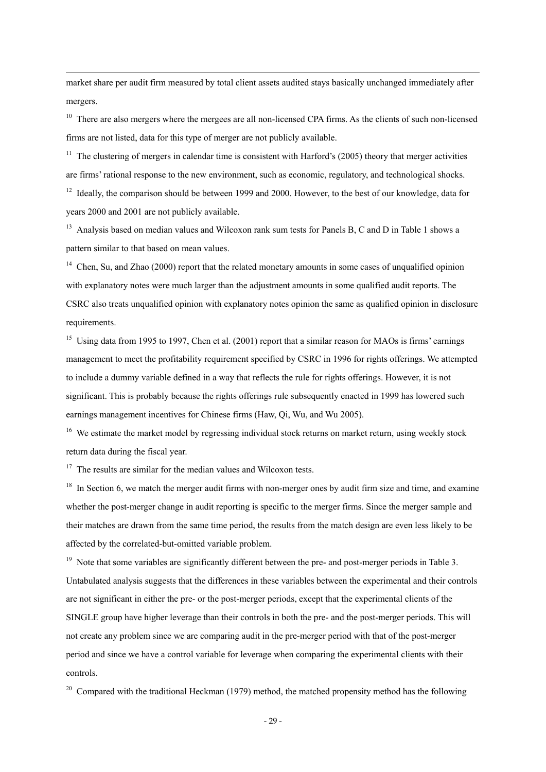market share per audit firm measured by total client assets audited stays basically unchanged immediately after mergers.

<sup>10</sup> There are also mergers where the mergees are all non-licensed CPA firms. As the clients of such non-licensed firms are not listed, data for this type of merger are not publicly available.

<sup>11</sup> The clustering of mergers in calendar time is consistent with Harford's (2005) theory that merger activities are firms' rational response to the new environment, such as economic, regulatory, and technological shocks.

<sup>12</sup> Ideally, the comparison should be between 1999 and 2000. However, to the best of our knowledge, data for years 2000 and 2001 are not publicly available.

<sup>13</sup> Analysis based on median values and Wilcoxon rank sum tests for Panels B, C and D in Table 1 shows a pattern similar to that based on mean values.

<sup>14</sup> Chen. Su, and Zhao (2000) report that the related monetary amounts in some cases of unqualified opinion with explanatory notes were much larger than the adjustment amounts in some qualified audit reports. The CSRC also treats unqualified opinion with explanatory notes opinion the same as qualified opinion in disclosure requirements.

<sup>15</sup> Using data from 1995 to 1997, Chen et al. (2001) report that a similar reason for MAOs is firms' earnings management to meet the profitability requirement specified by CSRC in 1996 for rights offerings. We attempted to include a dummy variable defined in a way that reflects the rule for rights offerings. However, it is not significant. This is probably because the rights offerings rule subsequently enacted in 1999 has lowered such earnings management incentives for Chinese firms (Haw, Qi, Wu, and Wu 2005).

<sup>16</sup> We estimate the market model by regressing individual stock returns on market return, using weekly stock return data during the fiscal year.

 $17$  The results are similar for the median values and Wilcoxon tests.

<u>.</u>

<sup>18</sup> In Section 6, we match the merger audit firms with non-merger ones by audit firm size and time, and examine whether the post-merger change in audit reporting is specific to the merger firms. Since the merger sample and their matches are drawn from the same time period, the results from the match design are even less likely to be affected by the correlated-but-omitted variable problem.

<sup>19</sup> Note that some variables are significantly different between the pre- and post-merger periods in Table 3. Untabulated analysis suggests that the differences in these variables between the experimental and their controls are not significant in either the pre- or the post-merger periods, except that the experimental clients of the SINGLE group have higher leverage than their controls in both the pre- and the post-merger periods. This will not create any problem since we are comparing audit in the pre-merger period with that of the post-merger period and since we have a control variable for leverage when comparing the experimental clients with their controls.

<sup>20</sup> Compared with the traditional Heckman (1979) method, the matched propensity method has the following

- 29 -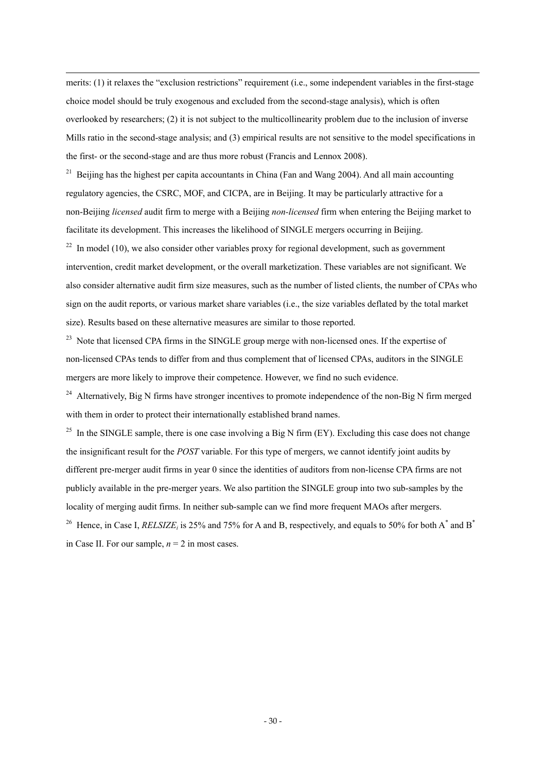merits: (1) it relaxes the "exclusion restrictions" requirement (i.e., some independent variables in the first-stage choice model should be truly exogenous and excluded from the second-stage analysis), which is often overlooked by researchers; (2) it is not subject to the multicollinearity problem due to the inclusion of inverse Mills ratio in the second-stage analysis; and (3) empirical results are not sensitive to the model specifications in the first- or the second-stage and are thus more robust (Francis and Lennox 2008).

<u>.</u>

 $21$  Beijing has the highest per capita accountants in China (Fan and Wang 2004). And all main accounting regulatory agencies, the CSRC, MOF, and CICPA, are in Beijing. It may be particularly attractive for a non-Beijing *licensed* audit firm to merge with a Beijing *non-licensed* firm when entering the Beijing market to facilitate its development. This increases the likelihood of SINGLE mergers occurring in Beijing.

 $^{22}$  In model (10), we also consider other variables proxy for regional development, such as government intervention, credit market development, or the overall marketization. These variables are not significant. We also consider alternative audit firm size measures, such as the number of listed clients, the number of CPAs who sign on the audit reports, or various market share variables (i.e., the size variables deflated by the total market size). Results based on these alternative measures are similar to those reported.

<sup>23</sup> Note that licensed CPA firms in the SINGLE group merge with non-licensed ones. If the expertise of non-licensed CPAs tends to differ from and thus complement that of licensed CPAs, auditors in the SINGLE mergers are more likely to improve their competence. However, we find no such evidence.

<sup>24</sup> Alternatively, Big N firms have stronger incentives to promote independence of the non-Big N firm merged with them in order to protect their internationally established brand names.

<sup>25</sup> In the SINGLE sample, there is one case involving a Big N firm (EY). Excluding this case does not change the insignificant result for the *POST* variable. For this type of mergers, we cannot identify joint audits by different pre-merger audit firms in year 0 since the identities of auditors from non-license CPA firms are not publicly available in the pre-merger years. We also partition the SINGLE group into two sub-samples by the locality of merging audit firms. In neither sub-sample can we find more frequent MAOs after mergers.

<sup>26</sup> Hence, in Case I, *RELSIZE<sub>i</sub>* is 25% and 75% for A and B, respectively, and equals to 50% for both A<sup>\*</sup> and B<sup>\*</sup> in Case II. For our sample,  $n = 2$  in most cases.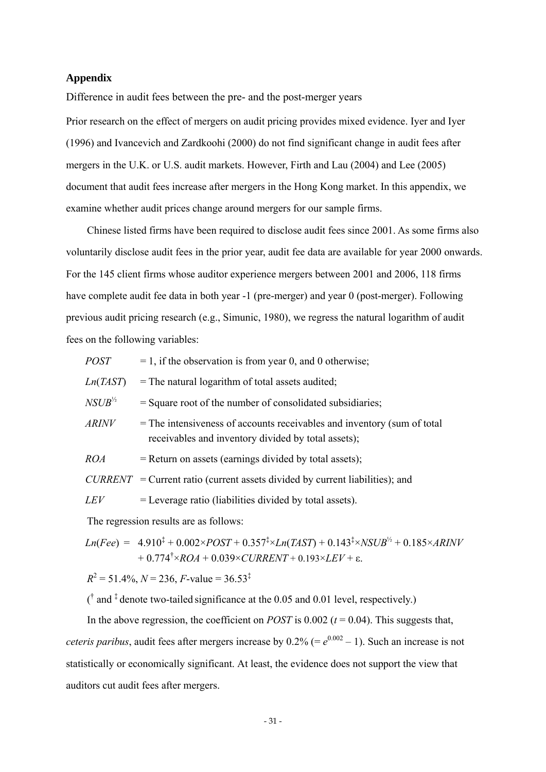## **Appendix**

Difference in audit fees between the pre- and the post-merger years

Prior research on the effect of mergers on audit pricing provides mixed evidence. Iyer and Iyer (1996) and Ivancevich and Zardkoohi (2000) do not find significant change in audit fees after mergers in the U.K. or U.S. audit markets. However, Firth and Lau (2004) and Lee (2005) document that audit fees increase after mergers in the Hong Kong market. In this appendix, we examine whether audit prices change around mergers for our sample firms.

Chinese listed firms have been required to disclose audit fees since 2001. As some firms also voluntarily disclose audit fees in the prior year, audit fee data are available for year 2000 onwards. For the 145 client firms whose auditor experience mergers between 2001 and 2006, 118 firms have complete audit fee data in both year -1 (pre-merger) and year 0 (post-merger). Following previous audit pricing research (e.g., Simunic, 1980), we regress the natural logarithm of audit fees on the following variables:

| POST |  |  | $= 1$ , if the observation is from year 0, and 0 otherwise; |
|------|--|--|-------------------------------------------------------------|
|      |  |  |                                                             |

 $Ln(TAST)$  = The natural logarithm of total assets audited;

 $NSUB^{\frac{1}{2}}$  = Square root of the number of consolidated subsidiaries;

*ARINV* = The intensiveness of accounts receivables and inventory (sum of total receivables and inventory divided by total assets);

 $ROA$  = Return on assets (earnings divided by total assets);

 $CURRENT = Current ratio$  (current assets divided by current liabilities); and

 $LEV = \text{Leverage ratio (liabilities divided by total assets)}.$ 

The regression results are as follows:

$$
Ln(Fee) = 4.910^{\ddagger} + 0.002 \times POST + 0.357^{\ddagger} \times Ln(TAST) + 0.143^{\ddagger} \times NSUB^{\frac{1}{2}} + 0.185 \times ARINV + 0.774^{\ddagger} \times ROA + 0.039 \times CURRENT + 0.193 \times LEV + \epsilon.
$$

 $R^2 = 51.4\%, N = 236, F$ -value = 36.53<sup>‡</sup>

 $($ <sup>†</sup> and <sup>‡</sup> denote two-tailed significance at the 0.05 and 0.01 level, respectively.)

In the above regression, the coefficient on *POST* is  $0.002$  ( $t = 0.04$ ). This suggests that, *ceteris paribus*, audit fees after mergers increase by  $0.2\%$  (=  $e^{0.002} - 1$ ). Such an increase is not statistically or economically significant. At least, the evidence does not support the view that auditors cut audit fees after mergers.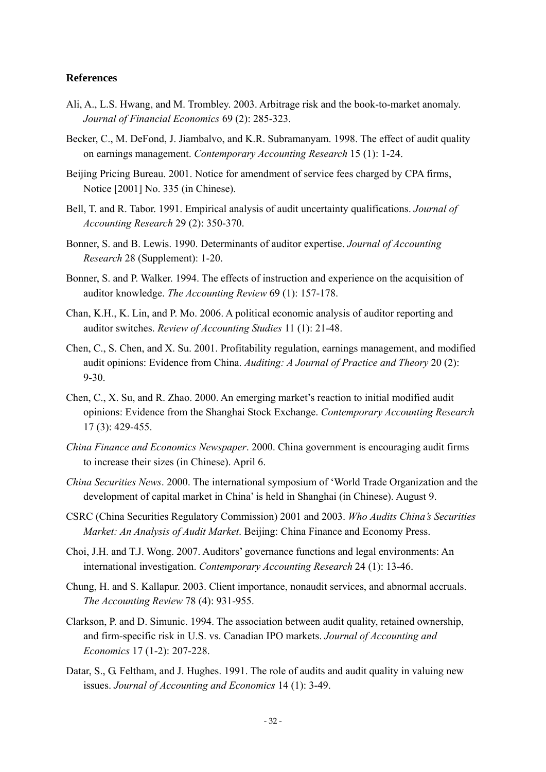## **References**

- Ali, A., L.S. Hwang, and M. Trombley. 2003. Arbitrage risk and the book-to-market anomaly. *Journal of Financial Economics* 69 (2): 285-323.
- Becker, C., M. DeFond, J. Jiambalvo, and K.R. Subramanyam. 1998. The effect of audit quality on earnings management. *Contemporary Accounting Research* 15 (1): 1-24.
- Beijing Pricing Bureau. 2001. Notice for amendment of service fees charged by CPA firms, Notice [2001] No. 335 (in Chinese).
- Bell, T. and R. Tabor. 1991. Empirical analysis of audit uncertainty qualifications. *Journal of Accounting Research* 29 (2): 350-370.
- Bonner, S. and B. Lewis. 1990. Determinants of auditor expertise. *Journal of Accounting Research* 28 (Supplement): 1-20.
- Bonner, S. and P. Walker. 1994. The effects of instruction and experience on the acquisition of auditor knowledge. *The Accounting Review* 69 (1): 157-178.
- Chan, K.H., K. Lin, and P. Mo. 2006. A political economic analysis of auditor reporting and auditor switches. *Review of Accounting Studies* 11 (1): 21-48.
- Chen, C., S. Chen, and X. Su. 2001. Profitability regulation, earnings management, and modified audit opinions: Evidence from China. *Auditing: A Journal of Practice and Theory* 20 (2): 9-30.
- Chen, C., X. Su, and R. Zhao. 2000. An emerging market's reaction to initial modified audit opinions: Evidence from the Shanghai Stock Exchange. *Contemporary Accounting Research* 17 (3): 429-455.
- *China Finance and Economics Newspaper*. 2000. China government is encouraging audit firms to increase their sizes (in Chinese). April 6.
- *China Securities News*. 2000. The international symposium of 'World Trade Organization and the development of capital market in China' is held in Shanghai (in Chinese). August 9.
- CSRC (China Securities Regulatory Commission) 2001 and 2003. *Who Audits China's Securities Market: An Analysis of Audit Market*. Beijing: China Finance and Economy Press.
- Choi, J.H. and T.J. Wong. 2007. Auditors' governance functions and legal environments: An international investigation. *Contemporary Accounting Research* 24 (1): 13-46.
- Chung, H. and S. Kallapur. 2003. Client importance, nonaudit services, and abnormal accruals. *The Accounting Review* 78 (4): 931-955.
- Clarkson, P. and D. Simunic. 1994. The association between audit quality, retained ownership, and firm-specific risk in U.S. vs. Canadian IPO markets. *Journal of Accounting and Economics* 17 (1-2): 207-228.
- Datar, S., G. Feltham, and J. Hughes. 1991. The role of audits and audit quality in valuing new issues. *Journal of Accounting and Economics* 14 (1): 3-49.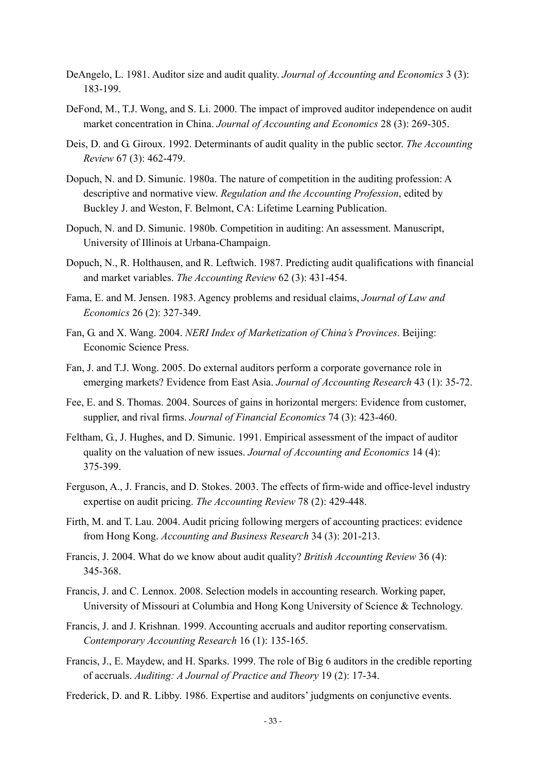- DeAngelo, L. 1981. Auditor size and audit quality. *Journal of Accounting and Economics* 3 (3): 183-199.
- DeFond, M., T.J. Wong, and S. Li. 2000. The impact of improved auditor independence on audit market concentration in China. *Journal of Accounting and Economics* 28 (3): 269-305.
- Deis, D. and G. Giroux. 1992. Determinants of audit quality in the public sector. *The Accounting Review* 67 (3): 462-479.
- Dopuch, N. and D. Simunic. 1980a. The nature of competition in the auditing profession: A descriptive and normative view. *Regulation and the Accounting Profession*, edited by Buckley J. and Weston, F. Belmont, CA: Lifetime Learning Publication.
- Dopuch, N. and D. Simunic. 1980b. Competition in auditing: An assessment. Manuscript, University of Illinois at Urbana-Champaign.
- Dopuch, N., R. Holthausen, and R. Leftwich. 1987. Predicting audit qualifications with financial and market variables. *The Accounting Review* 62 (3): 431-454.
- Fama, E. and M. Jensen. 1983. Agency problems and residual claims, *Journal of Law and Economics* 26 (2): 327-349.
- Fan, G. and X. Wang. 2004. *NERI Index of Marketization of China's Provinces*. Beijing: Economic Science Press.
- Fan, J. and T.J. Wong. 2005. Do external auditors perform a corporate governance role in emerging markets? Evidence from East Asia. *Journal of Accounting Research* 43 (1): 35-72.
- Fee, E. and S. Thomas. 2004. Sources of gains in horizontal mergers: Evidence from customer, supplier, and rival firms. *Journal of Financial Economics* 74 (3): 423-460.
- Feltham, G., J. Hughes, and D. Simunic. 1991. Empirical assessment of the impact of auditor quality on the valuation of new issues. *Journal of Accounting and Economics* 14 (4): 375-399.
- Ferguson, A., J. Francis, and D. Stokes. 2003. The effects of firm-wide and office-level industry expertise on audit pricing. *The Accounting Review* 78 (2): 429-448.
- Firth, M. and T. Lau. 2004. Audit pricing following mergers of accounting practices: evidence from Hong Kong. *Accounting and Business Research* 34 (3): 201-213.
- Francis, J. 2004. What do we know about audit quality? *British Accounting Review* 36 (4): 345-368.
- Francis, J. and C. Lennox. 2008. Selection models in accounting research. Working paper, University of Missouri at Columbia and Hong Kong University of Science & Technology.
- Francis, J. and J. Krishnan. 1999. Accounting accruals and auditor reporting conservatism. *Contemporary Accounting Research* 16 (1): 135-165.
- Francis, J., E. Maydew, and H. Sparks. 1999. The role of Big 6 auditors in the credible reporting of accruals. *Auditing: A Journal of Practice and Theory* 19 (2): 17-34.
- Frederick, D. and R. Libby. 1986. Expertise and auditors' judgments on conjunctive events.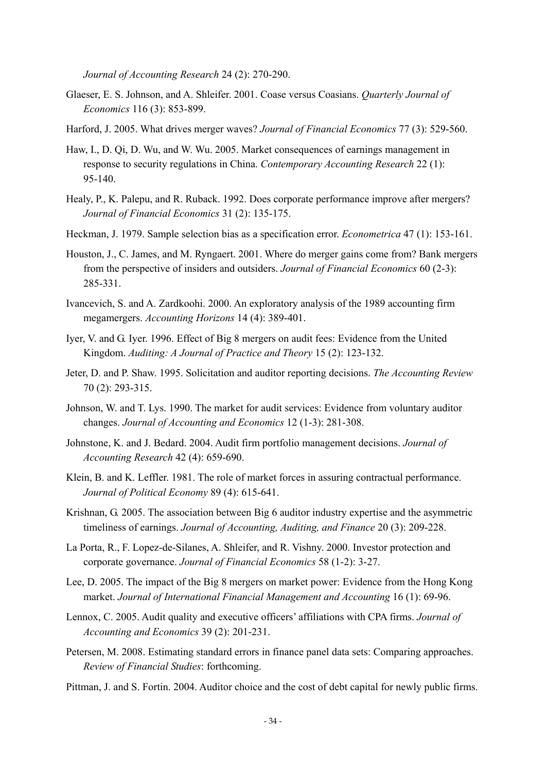*Journal of Accounting Research* 24 (2): 270-290.

- Glaeser, E. S. Johnson, and A. Shleifer. 2001. Coase versus Coasians. *Quarterly Journal of Economics* 116 (3): 853-899.
- Harford, J. 2005. What drives merger waves? *Journal of Financial Economics* 77 (3): 529-560.
- Haw, I., D. Qi, D. Wu, and W. Wu. 2005. Market consequences of earnings management in response to security regulations in China. *Contemporary Accounting Research* 22 (1): 95-140.
- Healy, P., K. Palepu, and R. Ruback. 1992. Does corporate performance improve after mergers? *Journal of Financial Economics* 31 (2): 135-175.
- Heckman, J. 1979. Sample selection bias as a specification error. *Econometrica* 47 (1): 153-161.
- Houston, J., C. James, and M. Ryngaert. 2001. Where do merger gains come from? Bank mergers from the perspective of insiders and outsiders. *Journal of Financial Economics* 60 (2-3): 285-331.
- Ivancevich, S. and A. Zardkoohi. 2000. An exploratory analysis of the 1989 accounting firm megamergers. *Accounting Horizons* 14 (4): 389-401.
- Iyer, V. and G. Iyer. 1996. Effect of Big 8 mergers on audit fees: Evidence from the United Kingdom. *Auditing: A Journal of Practice and Theory* 15 (2): 123-132.
- Jeter, D. and P. Shaw. 1995. Solicitation and auditor reporting decisions. *The Accounting Review* 70 (2): 293-315.
- Johnson, W. and T. Lys. 1990. The market for audit services: Evidence from voluntary auditor changes. *Journal of Accounting and Economics* 12 (1-3): 281-308.
- Johnstone, K. and J. Bedard. 2004. Audit firm portfolio management decisions. *Journal of Accounting Research* 42 (4): 659-690.
- Klein, B. and K. Leffler. 1981. The role of market forces in assuring contractual performance. *Journal of Political Economy* 89 (4): 615-641.
- Krishnan, G. 2005. The association between Big 6 auditor industry expertise and the asymmetric timeliness of earnings. *Journal of Accounting, Auditing, and Finance* 20 (3): 209-228.
- La Porta, R., F. Lopez-de-Silanes, A. Shleifer, and R. Vishny. 2000. Investor protection and corporate governance. *Journal of Financial Economics* 58 (1-2): 3-27.
- Lee, D. 2005. The impact of the Big 8 mergers on market power: Evidence from the Hong Kong market. *Journal of International Financial Management and Accounting* 16 (1): 69-96.
- Lennox, C. 2005. Audit quality and executive officers' affiliations with CPA firms. *Journal of Accounting and Economics* 39 (2): 201-231.
- Petersen, M. 2008. Estimating standard errors in finance panel data sets: Comparing approaches. *Review of Financial Studies*: forthcoming.
- Pittman, J. and S. Fortin. 2004. Auditor choice and the cost of debt capital for newly public firms.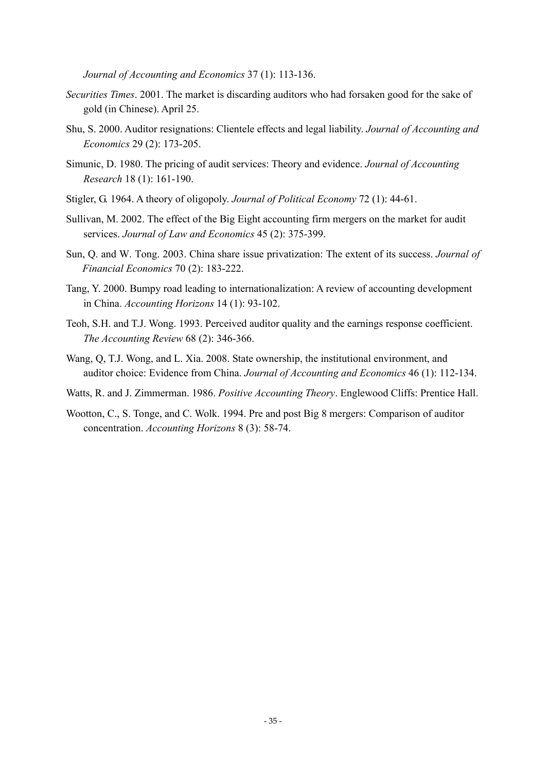*Journal of Accounting and Economics* 37 (1): 113-136.

- *Securities Times*. 2001. The market is discarding auditors who had forsaken good for the sake of gold (in Chinese). April 25.
- Shu, S. 2000. Auditor resignations: Clientele effects and legal liability. *Journal of Accounting and Economics* 29 (2): 173-205.
- Simunic, D. 1980. The pricing of audit services: Theory and evidence. *Journal of Accounting Research* 18 (1): 161-190.
- Stigler, G. 1964. A theory of oligopoly. *Journal of Political Economy* 72 (1): 44-61.
- Sullivan, M. 2002. The effect of the Big Eight accounting firm mergers on the market for audit services. *Journal of Law and Economics* 45 (2): 375-399.
- Sun, Q. and W. Tong. 2003. China share issue privatization: The extent of its success. *Journal of Financial Economics* 70 (2): 183-222.
- Tang, Y. 2000. Bumpy road leading to internationalization: A review of accounting development in China. *Accounting Horizons* 14 (1): 93-102.
- Teoh, S.H. and T.J. Wong. 1993. Perceived auditor quality and the earnings response coefficient. *The Accounting Review* 68 (2): 346-366.
- Wang, Q, T.J. Wong, and L. Xia. 2008. State ownership, the institutional environment, and auditor choice: Evidence from China. *Journal of Accounting and Economics* 46 (1): 112-134.
- Watts, R. and J. Zimmerman. 1986. *Positive Accounting Theory*. Englewood Cliffs: Prentice Hall.
- Wootton, C., S. Tonge, and C. Wolk. 1994. Pre and post Big 8 mergers: Comparison of auditor concentration. *Accounting Horizons* 8 (3): 58-74.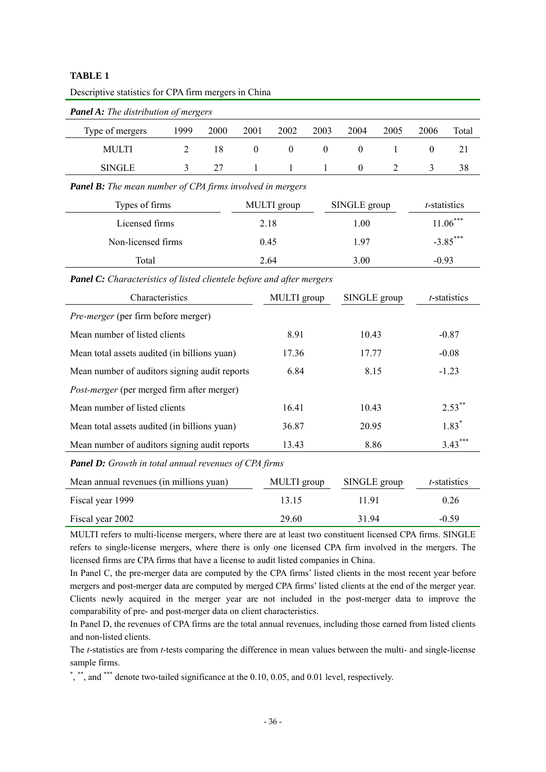| Descriptive statistics for CPA firm mergers in China         |                                                                       |      |                  |                  |                  |                  |                |                  |              |  |  |
|--------------------------------------------------------------|-----------------------------------------------------------------------|------|------------------|------------------|------------------|------------------|----------------|------------------|--------------|--|--|
| <b>Panel A:</b> The distribution of mergers                  |                                                                       |      |                  |                  |                  |                  |                |                  |              |  |  |
| Type of mergers                                              | 1999                                                                  | 2000 | 2001             | 2002             | 2003             | 2004             | 2005           | 2006             | Total        |  |  |
| <b>MULTI</b>                                                 | $\overline{2}$                                                        | 18   | $\boldsymbol{0}$ | $\boldsymbol{0}$ | $\boldsymbol{0}$ | $\boldsymbol{0}$ | 1              | $\boldsymbol{0}$ | 21           |  |  |
| <b>SINGLE</b>                                                | 3                                                                     | 27   | 1                | 1                | 1                | $\boldsymbol{0}$ | $\overline{2}$ | 3                | 38           |  |  |
|                                                              | <b>Panel B:</b> The mean number of CPA firms involved in mergers      |      |                  |                  |                  |                  |                |                  |              |  |  |
| Types of firms                                               |                                                                       |      |                  | MULTI group      |                  | SINGLE group     |                | t-statistics     |              |  |  |
| Licensed firms                                               |                                                                       |      | 2.18             |                  |                  | 1.00             |                |                  | $11.06***$   |  |  |
| Non-licensed firms                                           |                                                                       |      | 0.45             |                  |                  | 1.97             |                |                  | $-3.85***$   |  |  |
| Total                                                        |                                                                       |      | 2.64             |                  |                  | 3.00             |                | $-0.93$          |              |  |  |
|                                                              | Panel C: Characteristics of listed clientele before and after mergers |      |                  |                  |                  |                  |                |                  |              |  |  |
| Characteristics                                              |                                                                       |      |                  | MULTI group      |                  | SINGLE group     |                |                  | t-statistics |  |  |
| Pre-merger (per firm before merger)                          |                                                                       |      |                  |                  |                  |                  |                |                  |              |  |  |
| Mean number of listed clients                                |                                                                       |      |                  | 8.91             |                  | 10.43            |                | $-0.87$          |              |  |  |
| Mean total assets audited (in billions yuan)                 |                                                                       |      |                  | 17.36            |                  | 17.77            |                | $-0.08$          |              |  |  |
| Mean number of auditors signing audit reports                |                                                                       |      |                  | 6.84<br>8.15     |                  |                  |                | $-1.23$          |              |  |  |
| Post-merger (per merged firm after merger)                   |                                                                       |      |                  |                  |                  |                  |                |                  |              |  |  |
| Mean number of listed clients                                |                                                                       |      |                  | 16.41            |                  | 10.43            |                |                  | $2.53^*$     |  |  |
| Mean total assets audited (in billions yuan)                 |                                                                       |      |                  | 36.87            |                  | 20.95            |                |                  | $1.83*$      |  |  |
| Mean number of auditors signing audit reports                |                                                                       |      |                  | 13.43            |                  | 8.86             |                |                  | $3.43***$    |  |  |
| <b>Panel D:</b> Growth in total annual revenues of CPA firms |                                                                       |      |                  |                  |                  |                  |                |                  |              |  |  |
| Mean annual revenues (in millions yuan)                      |                                                                       |      |                  | MULTI group      |                  | SINGLE group     |                |                  | t-statistics |  |  |
| Fiscal year 1999                                             |                                                                       |      |                  | 13.15            |                  | 11.91            |                | 0.26             |              |  |  |
| Fiscal year 2002                                             |                                                                       |      |                  | 29.60<br>31.94   |                  |                  |                | $-0.59$          |              |  |  |

MULTI refers to multi-license mergers, where there are at least two constituent licensed CPA firms. SINGLE refers to single-license mergers, where there is only one licensed CPA firm involved in the mergers. The licensed firms are CPA firms that have a license to audit listed companies in China.

In Panel C, the pre-merger data are computed by the CPA firms' listed clients in the most recent year before mergers and post-merger data are computed by merged CPA firms' listed clients at the end of the merger year. Clients newly acquired in the merger year are not included in the post-merger data to improve the comparability of pre- and post-merger data on client characteristics.

In Panel D, the revenues of CPA firms are the total annual revenues, including those earned from listed clients and non-listed clients.

The *t*-statistics are from *t*-tests comparing the difference in mean values between the multi- and single-license sample firms.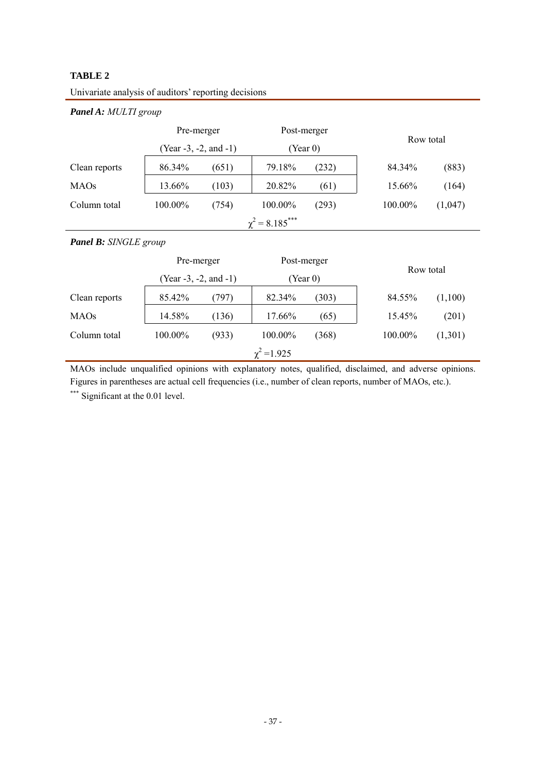| <b>Panel A:</b> MULTI group     |                                |       |                 |       |           |         |  |  |  |  |  |  |
|---------------------------------|--------------------------------|-------|-----------------|-------|-----------|---------|--|--|--|--|--|--|
|                                 | Pre-merger                     |       | Post-merger     |       | Row total |         |  |  |  |  |  |  |
|                                 | (Year $-3$ , $-2$ , and $-1$ ) |       | (Year 0)        |       |           |         |  |  |  |  |  |  |
| Clean reports                   | 86.34%                         | (651) | 79.18%          | (232) | 84.34%    | (883)   |  |  |  |  |  |  |
| <b>MAOs</b>                     | 13.66%                         | (103) | 20.82%          | (61)  | 15.66%    | (164)   |  |  |  |  |  |  |
| Column total                    | 100.00%                        | (754) | 100.00%         | (293) | 100.00%   | (1,047) |  |  |  |  |  |  |
| $\chi^2$ = 8.185 <sup>***</sup> |                                |       |                 |       |           |         |  |  |  |  |  |  |
| <b>Panel B:</b> SINGLE group    |                                |       |                 |       |           |         |  |  |  |  |  |  |
|                                 | Pre-merger                     |       | Post-merger     |       |           |         |  |  |  |  |  |  |
|                                 | $(Year -3, -2, and -1)$        |       | (Year 0)        |       | Row total |         |  |  |  |  |  |  |
| Clean reports                   | 85.42%                         | (797) | 82.34%          | (303) | 84.55%    | (1,100) |  |  |  |  |  |  |
| <b>MAOs</b>                     | 14.58%                         | (136) | 17.66%          | (65)  | 15.45%    | (201)   |  |  |  |  |  |  |
| Column total                    | 100.00%                        | (933) | 100.00%         | (368) | 100.00%   | (1,301) |  |  |  |  |  |  |
|                                 |                                |       | $\chi^2$ =1.925 |       |           |         |  |  |  |  |  |  |

Univariate analysis of auditors' reporting decisions

MAOs include unqualified opinions with explanatory notes, qualified, disclaimed, and adverse opinions. Figures in parentheses are actual cell frequencies (i.e., number of clean reports, number of MAOs, etc.).

\*\*\* Significant at the 0.01 level.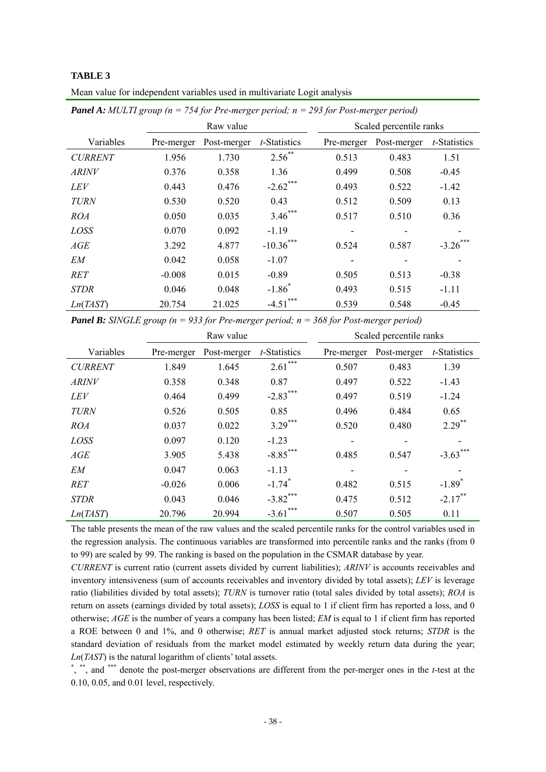| <b>Panel A:</b> MULTI group ( $n = 754$ for Pre-merger period; $n = 293$ for Post-merger period) |           |                                        |           |  |                         |                                        |      |  |  |  |  |
|--------------------------------------------------------------------------------------------------|-----------|----------------------------------------|-----------|--|-------------------------|----------------------------------------|------|--|--|--|--|
|                                                                                                  | Raw value |                                        |           |  | Scaled percentile ranks |                                        |      |  |  |  |  |
| Variables                                                                                        |           | Pre-merger Post-merger $t$ -Statistics |           |  |                         | Pre-merger Post-merger $t$ -Statistics |      |  |  |  |  |
| <b>CURRENT</b>                                                                                   | 1.956     | 1 730                                  | $2.56$ ** |  | 0.513                   | 0.483                                  | 1.51 |  |  |  |  |

*ARINV* 0.376 0.358 1.36 0.499 0.508 -0.45 *LEV* 0.443 0.476 -2.62<sup>\*\*\*</sup> 0.493 0.522 -1.42 *TURN* 0.530 0.520 0.43 0.512 0.509 0.13 *ROA* 0.050 0.035 3.46\*\*\* 0.517 0.510 0.36 *LOSS* 0.070 0.092 -1.19 - - - -*AGE* 3.292 4.877 -10.36\*\*\* 0.524 0.587 -3.26\*\*\* *EM* 0.042 0.058 -1.07 - - - -*RET* -0.008 0.015 -0.89 0.505 0.513 -0.38

Mean value for independent variables used in multivariate Logit analysis

*STDR* 0.046 0.048 -1.86<sup>\*</sup>

*Panel B: SINGLE group (n = 933 for Pre-merger period; n = 368 for Post-merger period)* 

*Ln*(*TAST*) 20.754 21.025 -4.51\*\*\* 0.539 0.548 -0.45

|                | Raw value  |             |                      |            | Scaled percentile ranks |                       |
|----------------|------------|-------------|----------------------|------------|-------------------------|-----------------------|
| Variables      | Pre-merger | Post-merger | <i>t</i> -Statistics | Pre-merger | Post-merger             | <i>t</i> -Statistics  |
| <b>CURRENT</b> | 1.849      | 1.645       | $2.61***$            | 0.507      | 0.483                   | 1.39                  |
| <b>ARINV</b>   | 0.358      | 0.348       | 0.87                 | 0.497      | 0.522                   | $-1.43$               |
| <i>LEV</i>     | 0.464      | 0.499       | $-2.83***$           | 0.497      | 0.519                   | $-1.24$               |
| <b>TURN</b>    | 0.526      | 0.505       | 0.85                 | 0.496      | 0.484                   | 0.65                  |
| <i>ROA</i>     | 0.037      | 0.022       | $3.29***$            | 0.520      | 0.480                   | $2.29$ <sup>**</sup>  |
| LOSS           | 0.097      | 0.120       | $-1.23$              |            |                         |                       |
| AGE            | 3.905      | 5.438       | $-8.85***$           | 0.485      | 0.547                   | $-3.63$ <sup>**</sup> |
| EМ             | 0.047      | 0.063       | $-1.13$              |            |                         |                       |
| <b>RET</b>     | $-0.026$   | 0.006       | $-1.74$ <sup>*</sup> | 0.482      | 0.515                   | $-1.89$ <sup>*</sup>  |
| <b>STDR</b>    | 0.043      | 0.046       | $-3.82$ ***          | 0.475      | 0.512                   | $-2.17***$            |
| Ln(TAST)       | 20.796     | 20.994      | ***<br>$-3.61$       | 0.507      | 0.505                   | 0.11                  |

 $-1.86^*$  0.493 0.515  $-1.11$ 

The table presents the mean of the raw values and the scaled percentile ranks for the control variables used in the regression analysis. The continuous variables are transformed into percentile ranks and the ranks (from 0 to 99) are scaled by 99. The ranking is based on the population in the CSMAR database by year.

*CURRENT* is current ratio (current assets divided by current liabilities); *ARINV* is accounts receivables and inventory intensiveness (sum of accounts receivables and inventory divided by total assets); *LEV* is leverage ratio (liabilities divided by total assets); *TURN* is turnover ratio (total sales divided by total assets); *ROA* is return on assets (earnings divided by total assets); *LOSS* is equal to 1 if client firm has reported a loss, and 0 otherwise; *AGE* is the number of years a company has been listed; *EM* is equal to 1 if client firm has reported a ROE between 0 and 1%, and 0 otherwise; *RET* is annual market adjusted stock returns; *STDR* is the standard deviation of residuals from the market model estimated by weekly return data during the year; *Ln*(*TAST*) is the natural logarithm of clients' total assets.

<sup>\*</sup>, \*\*, and \*\*\* denote the post-merger observations are different from the per-merger ones in the *t*-test at the 0.10, 0.05, and 0.01 level, respectively.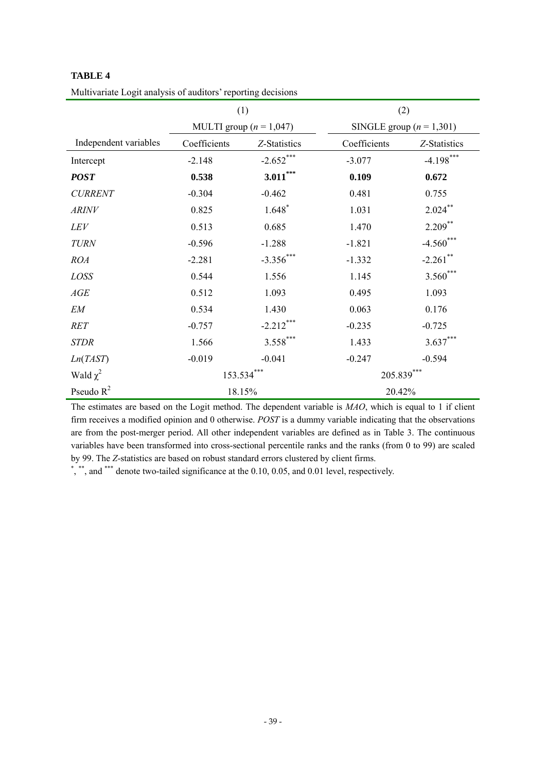|                       | (1)                         |              | (2)          |                            |  |
|-----------------------|-----------------------------|--------------|--------------|----------------------------|--|
|                       | MULTI group ( $n = 1,047$ ) |              |              | SINGLE group $(n = 1,301)$ |  |
| Independent variables | Coefficients                | Z-Statistics | Coefficients | Z-Statistics               |  |
| Intercept             | $-2.148$                    | $-2.652***$  | $-3.077$     | $-4.198***$                |  |
| <b>POST</b>           | 0.538                       | $3.011***$   | 0.109        | 0.672                      |  |
| <b>CURRENT</b>        | $-0.304$                    | $-0.462$     | 0.481        | 0.755                      |  |
| <b>ARINV</b>          | 0.825                       | $1.648*$     | 1.031        | $2.024***$                 |  |
| LEV                   | 0.513                       | 0.685        | 1.470        | $2.209$ **                 |  |
| <b>TURN</b>           | $-0.596$                    | $-1.288$     | $-1.821$     | $-4.560$ ***               |  |
| <b>ROA</b>            | $-2.281$                    | $-3.356***$  | $-1.332$     | $-2.261$ **                |  |
| LOSS                  | 0.544                       | 1.556        | 1.145        | $3.560***$                 |  |
| AGE                   | 0.512                       | 1.093        | 0.495        | 1.093                      |  |
| EM                    | 0.534                       | 1.430        | 0.063        | 0.176                      |  |
| <b>RET</b>            | $-0.757$                    | $-2.212***$  | $-0.235$     | $-0.725$                   |  |
| <b>STDR</b>           | 1.566                       | $3.558***$   | 1.433        | $3.637***$                 |  |
| Ln(TAST)              | $-0.019$                    | $-0.041$     | $-0.247$     | $-0.594$                   |  |
| Wald $\chi^2$         | $153.534***$                |              | $205.839***$ |                            |  |
| Pseudo $R^2$          | 18.15%                      |              | 20.42%       |                            |  |

Multivariate Logit analysis of auditors' reporting decisions

The estimates are based on the Logit method. The dependent variable is *MAO*, which is equal to 1 if client firm receives a modified opinion and 0 otherwise. *POST* is a dummy variable indicating that the observations are from the post-merger period. All other independent variables are defined as in Table 3. The continuous variables have been transformed into cross-sectional percentile ranks and the ranks (from 0 to 99) are scaled by 99. The *Z*-statistics are based on robust standard errors clustered by client firms. \*

 $\stackrel{*}{\cdot}$ ,  $\stackrel{***}{\cdot}$ , and  $\stackrel{***}{\cdot}$  denote two-tailed significance at the 0.10, 0.05, and 0.01 level, respectively.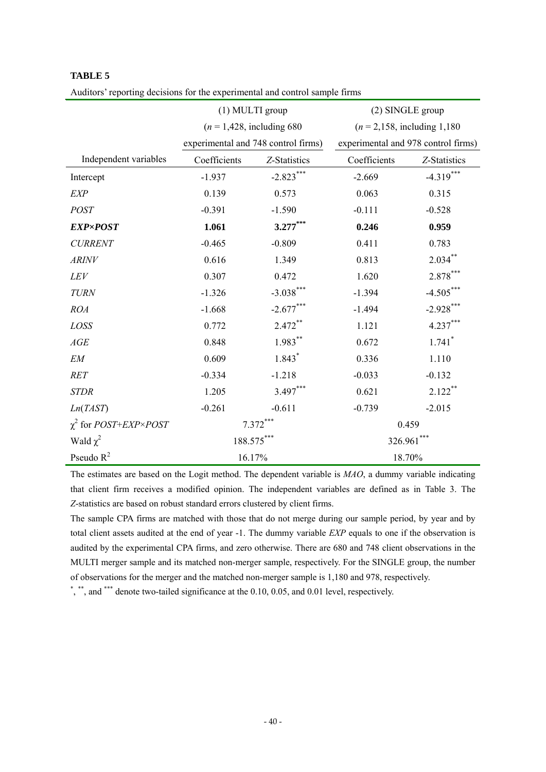|                                            | (1) MULTI group                       |                                     | (2) SINGLE group                          |                      |  |  |
|--------------------------------------------|---------------------------------------|-------------------------------------|-------------------------------------------|----------------------|--|--|
|                                            | $(n = 1,428, \text{ including } 680)$ |                                     | $(n = 2, 158, \text{ including } 1, 180)$ |                      |  |  |
|                                            |                                       | experimental and 748 control firms) | experimental and 978 control firms)       |                      |  |  |
| Independent variables                      | Coefficients                          | Z-Statistics                        | Coefficients                              | Z-Statistics         |  |  |
| Intercept                                  | $-1.937$                              | $-2.823***$                         | $-2.669$                                  | $-4.319***$          |  |  |
| <b>EXP</b>                                 | 0.139                                 | 0.573                               | 0.063                                     | 0.315                |  |  |
| <b>POST</b>                                | $-0.391$                              | $-1.590$                            | $-0.111$                                  | $-0.528$             |  |  |
| <b>EXP×POST</b>                            | 1.061                                 | $3.277***$                          | 0.246                                     | 0.959                |  |  |
| <b>CURRENT</b>                             | $-0.465$                              | $-0.809$                            | 0.411                                     | 0.783                |  |  |
| <b>ARINV</b>                               | 0.616                                 | 1.349                               | 0.813                                     | $2.034***$           |  |  |
| LEV                                        | 0.307                                 | 0.472                               | 1.620                                     | $2.878***$           |  |  |
| <b>TURN</b>                                | $-1.326$                              | $-3.038***$                         | $-1.394$                                  | $-4.505***$          |  |  |
| <b>ROA</b>                                 | $-1.668$                              | $-2.677***$                         | $-1.494$                                  | $-2.928***$          |  |  |
| LOSS                                       | 0.772                                 | $2.472**$                           | 1.121                                     | $4.237***$           |  |  |
| $\mathcal{A}\mathcal{G}\mathcal{E}$        | 0.848                                 | $1.983**$                           | 0.672                                     | $1.741$ <sup>*</sup> |  |  |
| EM                                         | 0.609                                 | $1.843*$                            | 0.336                                     | 1.110                |  |  |
| <b>RET</b>                                 | $-0.334$                              | $-1.218$                            | $-0.033$                                  | $-0.132$             |  |  |
| <b>STDR</b>                                | 1.205                                 | $3.497***$                          | 0.621                                     | $2.122$ **           |  |  |
| Ln(TAST)                                   | $-0.261$                              | $-0.611$                            | $-0.739$                                  | $-2.015$             |  |  |
| $\chi^2$ for <i>POST+EXP</i> × <i>POST</i> |                                       | $7.372***$                          | 0.459                                     |                      |  |  |
| Wald $\chi^2$                              | 188.575***                            |                                     | 326.961***                                |                      |  |  |
| Pseudo $R^2$                               | 16.17%                                |                                     | 18.70%                                    |                      |  |  |

Auditors' reporting decisions for the experimental and control sample firms

The estimates are based on the Logit method. The dependent variable is *MAO*, a dummy variable indicating that client firm receives a modified opinion. The independent variables are defined as in Table 3. The *Z*-statistics are based on robust standard errors clustered by client firms.

The sample CPA firms are matched with those that do not merge during our sample period, by year and by total client assets audited at the end of year -1. The dummy variable *EXP* equals to one if the observation is audited by the experimental CPA firms, and zero otherwise. There are 680 and 748 client observations in the MULTI merger sample and its matched non-merger sample, respectively. For the SINGLE group, the number of observations for the merger and the matched non-merger sample is 1,180 and 978, respectively.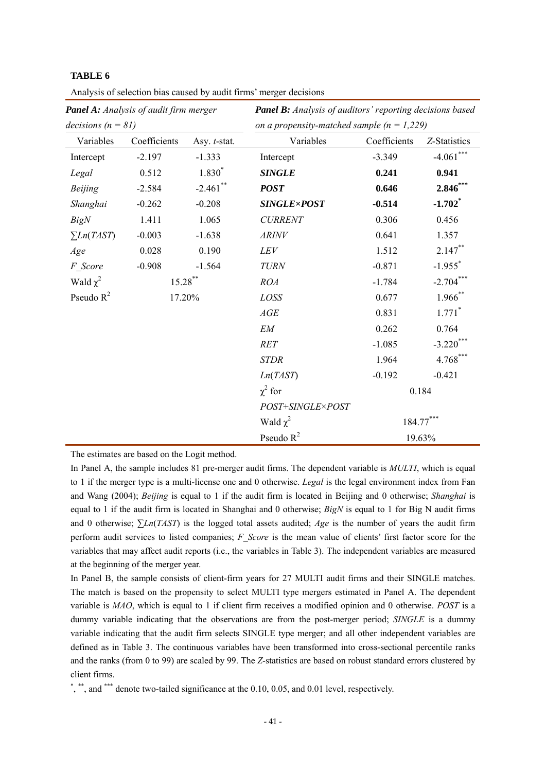|                      | Panel A: Analysis of audit firm merger |              | Panel B: Analysis of auditors' reporting decisions based |              |                       |
|----------------------|----------------------------------------|--------------|----------------------------------------------------------|--------------|-----------------------|
| decisions $(n = 81)$ |                                        |              | on a propensity-matched sample ( $n = 1,229$ )           |              |                       |
| Variables            | Coefficients                           | Asy. t-stat. | Variables                                                | Coefficients | Z-Statistics          |
| Intercept            | $-2.197$                               | $-1.333$     | Intercept                                                | $-3.349$     | $-4.061***$           |
| Legal                | 0.512                                  | 1.830*       | <b>SINGLE</b>                                            | 0.241        | 0.941                 |
| <b>Beijing</b>       | $-2.584$                               | $-2.461$ **  | <b>POST</b>                                              | 0.646        | $2.846$ **            |
| Shanghai             | $-0.262$                               | $-0.208$     | <b>SINGLE×POST</b>                                       | $-0.514$     | $-1.702$ <sup>*</sup> |
| <b>BigN</b>          | 1.411                                  | 1.065        | <b>CURRENT</b>                                           | 0.306        | 0.456                 |
| $\sum Ln(TAST)$      | $-0.003$                               | $-1.638$     | <b>ARINV</b>                                             | 0.641        | 1.357                 |
| Age                  | 0.028                                  | 0.190        | LEV                                                      | 1.512        | $2.147***$            |
| F Score              | $-0.908$                               | $-1.564$     | <b>TURN</b>                                              | $-0.871$     | $-1.955$ <sup>*</sup> |
| Wald $\chi^2$        | $15.28$ **                             |              | <b>ROA</b>                                               | $-1.784$     | $-2.704$ **           |
| Pseudo $R^2$         | 17.20%                                 |              | LOSS                                                     | 0.677        | $1.966$ **            |
|                      |                                        |              | AGE                                                      | 0.831        | $1.771$ <sup>*</sup>  |
|                      |                                        |              | EM                                                       | 0.262        | 0.764                 |
|                      |                                        |              | RET                                                      | $-1.085$     | $-3.220$ **           |
|                      |                                        |              | <b>STDR</b>                                              | 1.964        | $4.768***$            |
|                      |                                        |              | Ln(TAST)                                                 | $-0.192$     | $-0.421$              |
|                      |                                        |              | $\chi^2$ for                                             |              | 0.184                 |
|                      |                                        |              | POST+SINGLE×POST                                         |              |                       |
|                      |                                        |              | $184.77***$<br>Wald $\chi^2$                             |              |                       |
|                      |                                        |              | Pseudo $R^2$                                             |              | 19.63%                |

Analysis of selection bias caused by audit firms' merger decisions

The estimates are based on the Logit method.

In Panel A, the sample includes 81 pre-merger audit firms. The dependent variable is *MULTI*, which is equal to 1 if the merger type is a multi-license one and 0 otherwise. *Legal* is the legal environment index from Fan and Wang (2004); *Beijing* is equal to 1 if the audit firm is located in Beijing and 0 otherwise; *Shanghai* is equal to 1 if the audit firm is located in Shanghai and 0 otherwise; *BigN* is equal to 1 for Big N audit firms and 0 otherwise; ∑*Ln*(*TAST*) is the logged total assets audited; *Age* is the number of years the audit firm perform audit services to listed companies; *F\_Score* is the mean value of clients' first factor score for the variables that may affect audit reports (i.e., the variables in Table 3). The independent variables are measured at the beginning of the merger year.

In Panel B, the sample consists of client-firm years for 27 MULTI audit firms and their SINGLE matches. The match is based on the propensity to select MULTI type mergers estimated in Panel A. The dependent variable is *MAO*, which is equal to 1 if client firm receives a modified opinion and 0 otherwise. *POST* is a dummy variable indicating that the observations are from the post-merger period; *SINGLE* is a dummy variable indicating that the audit firm selects SINGLE type merger; and all other independent variables are defined as in Table 3. The continuous variables have been transformed into cross-sectional percentile ranks and the ranks (from 0 to 99) are scaled by 99. The *Z*-statistics are based on robust standard errors clustered by client firms.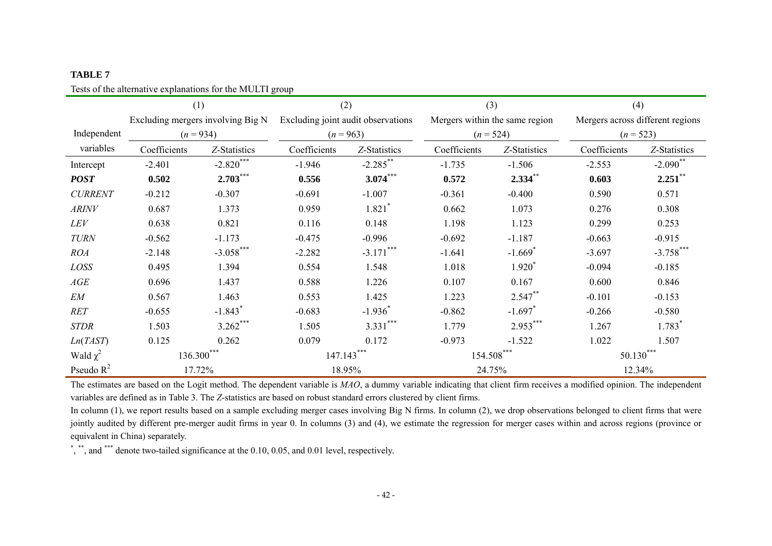Tests of the alternative explanations for the MULTI group

|                | (1)                               |                       | (2)                                |                      | (3)                            |                       | (4)                              |                        |
|----------------|-----------------------------------|-----------------------|------------------------------------|----------------------|--------------------------------|-----------------------|----------------------------------|------------------------|
|                | Excluding mergers involving Big N |                       | Excluding joint audit observations |                      | Mergers within the same region |                       | Mergers across different regions |                        |
| Independent    | $(n = 934)$                       |                       | $(n = 963)$                        |                      |                                | $(n = 524)$           | $(n = 523)$                      |                        |
| variables      | Coefficients                      | Z-Statistics          | Coefficients                       | Z-Statistics         | Coefficients                   | Z-Statistics          | Coefficients                     | Z-Statistics           |
| Intercept      | $-2.401$                          | $-2.820***$           | $-1.946$                           | $-2.285$ **          | $-1.735$                       | $-1.506$              | $-2.553$                         | $-2.090$ <sup>**</sup> |
| <b>POST</b>    | 0.502                             | $2.703***$            | 0.556                              | $3.074***$           | 0.572                          | $2.334$ **            | 0.603                            | $2.251$ **             |
| <b>CURRENT</b> | $-0.212$                          | $-0.307$              | $-0.691$                           | $-1.007$             | $-0.361$                       | $-0.400$              | 0.590                            | 0.571                  |
| <b>ARINV</b>   | 0.687                             | 1.373                 | 0.959                              | $1.821$ <sup>*</sup> | 0.662                          | 1.073                 | 0.276                            | 0.308                  |
| LEV            | 0.638                             | 0.821                 | 0.116                              | 0.148                | 1.198                          | 1.123                 | 0.299                            | 0.253                  |
| <b>TURN</b>    | $-0.562$                          | $-1.173$              | $-0.475$                           | $-0.996$             | $-0.692$                       | $-1.187$              | $-0.663$                         | $-0.915$               |
| <b>ROA</b>     | $-2.148$                          | $-3.058$ ***          | $-2.282$                           | $-3.171***$          | $-1.641$                       | $-1.669$ <sup>*</sup> | $-3.697$                         | $-3.758$ ***           |
| LOSS           | 0.495                             | 1.394                 | 0.554                              | 1.548                | 1.018                          | $1.920^{*}$           | $-0.094$                         | $-0.185$               |
| AGE            | 0.696                             | 1.437                 | 0.588                              | 1.226                | 0.107                          | 0.167                 | 0.600                            | 0.846                  |
| EM             | 0.567                             | 1.463                 | 0.553                              | 1.425                | 1.223                          | $2.547**$             | $-0.101$                         | $-0.153$               |
| RET            | $-0.655$                          | $-1.843$ <sup>*</sup> | $-0.683$                           | $-1.936^*$           | $-0.862$                       | $-1.697$ <sup>*</sup> | $-0.266$                         | $-0.580$               |
| <b>STDR</b>    | 1.503                             | $3.262***$            | 1.505                              | $3.331***$           | 1.779                          | $2.953***$            | 1.267                            | $1.783$ <sup>*</sup>   |
| Ln(TAST)       | 0.125                             | 0.262                 | 0.079                              | 0.172                | $-0.973$                       | $-1.522$              | 1.022                            | 1.507                  |
| Wald $\chi^2$  | $136.300***$                      |                       | $147.143***$                       |                      | 154.508***                     |                       | $50.130***$                      |                        |
| Pseudo $R^2$   |                                   | 17.72%                |                                    | 18.95%               | 24.75%                         |                       |                                  | 12.34%                 |

The estimates are based on the Logit method. The dependent variable is *MAO*, a dummy variable indicating that client firm receives a modified opinion. The independent variables are defined as in Table 3. The *Z*-statistics are based on robust standard errors clustered by client firms.

In column (1), we report results based on a sample excluding merger cases involving Big N firms. In column (2), we drop observations belonged to client firms that were jointly audited by different pre-merger audit firms in year 0. In columns (3) and (4), we estimate the regression for merger cases within and across regions (province or equivalent in China) separately.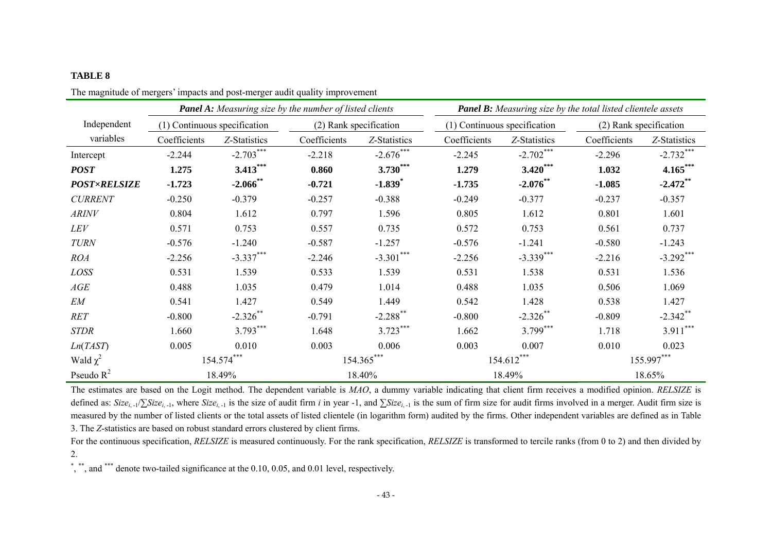|                     | <b>Panel A:</b> Measuring size by the number of listed clients |                              |                        | <b>Panel B:</b> Measuring size by the total listed clientele assets |                              |                        |              |                        |
|---------------------|----------------------------------------------------------------|------------------------------|------------------------|---------------------------------------------------------------------|------------------------------|------------------------|--------------|------------------------|
| Independent         |                                                                | (1) Continuous specification | (2) Rank specification |                                                                     | (1) Continuous specification |                        |              | (2) Rank specification |
| variables           | Coefficients                                                   | Z-Statistics                 | Coefficients           | Z-Statistics                                                        | Coefficients                 | Z-Statistics           | Coefficients | Z-Statistics           |
| Intercept           | $-2.244$                                                       | $-2.703***$                  | $-2.218$               | $-2.676***$                                                         | $-2.245$                     | $-2.702***$            | $-2.296$     | $-2.732***$            |
| <b>POST</b>         | 1.275                                                          | $3.413***$                   | 0.860                  | $3.730***$                                                          | 1.279                        | $3.420$ <sup>***</sup> | 1.032        | $4.165***$             |
| <b>POST×RELSIZE</b> | $-1.723$                                                       | $-2.066$ **                  | $-0.721$               | $-1.839$ <sup>*</sup>                                               | $-1.735$                     | $-2.076**$             | $-1.085$     | $-2.472$ **            |
| <b>CURRENT</b>      | $-0.250$                                                       | $-0.379$                     | $-0.257$               | $-0.388$                                                            | $-0.249$                     | $-0.377$               | $-0.237$     | $-0.357$               |
| <b>ARINV</b>        | 0.804                                                          | 1.612                        | 0.797                  | 1.596                                                               | 0.805                        | 1.612                  | 0.801        | 1.601                  |
| LEV                 | 0.571                                                          | 0.753                        | 0.557                  | 0.735                                                               | 0.572                        | 0.753                  | 0.561        | 0.737                  |
| <b>TURN</b>         | $-0.576$                                                       | $-1.240$                     | $-0.587$               | $-1.257$                                                            | $-0.576$                     | $-1.241$               | $-0.580$     | $-1.243$               |
| <b>ROA</b>          | $-2.256$                                                       | $-3.337***$                  | $-2.246$               | $-3.301$ ***                                                        | $-2.256$                     | $-3.339***$            | $-2.216$     | $-3.292$ ***           |
| LOSS                | 0.531                                                          | 1.539                        | 0.533                  | 1.539                                                               | 0.531                        | 1.538                  | 0.531        | 1.536                  |
| AGE                 | 0.488                                                          | 1.035                        | 0.479                  | 1.014                                                               | 0.488                        | 1.035                  | 0.506        | 1.069                  |
| EM                  | 0.541                                                          | 1.427                        | 0.549                  | 1.449                                                               | 0.542                        | 1.428                  | 0.538        | 1.427                  |
| RET                 | $-0.800$                                                       | $-2.326$ **                  | $-0.791$               | $-2.288$ <sup>**</sup>                                              | $-0.800$                     | $-2.326$ **            | $-0.809$     | $-2.342$ **            |
| <b>STDR</b>         | 1.660                                                          | $3.793***$                   | 1.648                  | $3.723***$                                                          | 1.662                        | $3.799***$             | 1.718        | $3.911***$             |
| Ln(TAST)            | 0.005                                                          | 0.010                        | 0.003                  | 0.006                                                               | 0.003                        | 0.007                  | 0.010        | 0.023                  |
| Wald $\chi^2$       |                                                                | 154.574                      |                        | 154.365***                                                          |                              | 154.612                |              | 155.997***             |
| Pseudo $R^2$        |                                                                | 18.49%                       |                        | 18.40%                                                              |                              | 18.49%                 |              | 18.65%                 |

The magnitude of mergers' impacts and post-merger audit quality improvement

The estimates are based on the Logit method. The dependent variable is *MAO*, a dummy variable indicating that client firm receives a modified opinion. *RELSIZE* is defined as:  $Size_{i-1}/\sum Size_{i-1}$ , where  $Size_{i-1}$  is the size of audit firm *i* in year -1, and  $\sum Size_{i-1}$  is the sum of firm size for audit firms involved in a merger. Audit firm size is measured by the number of listed clients or the total assets of listed clientele (in logarithm form) audited by the firms. Other independent variables are defined as in Table 3. The *Z*-statistics are based on robust standard errors clustered by client firms.

For the continuous specification, *RELSIZE* is measured continuously. For the rank specification, *RELSIZE* is transformed to tercile ranks (from 0 to 2) and then divided by 2.